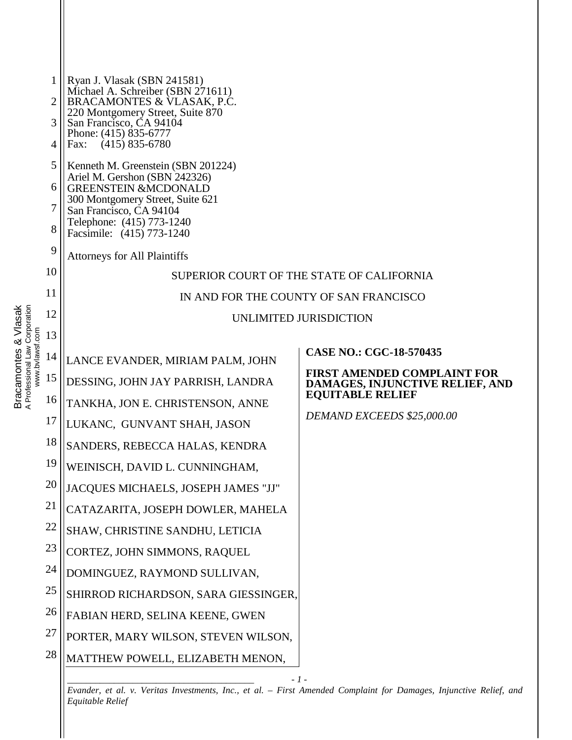| & Vlasak<br>A Professional Law Corporation<br>www.bvlawsf.com<br><b>Bracamontes</b> | 1<br>$\overline{2}$<br>3<br>$\overline{4}$<br>5<br>6<br>7<br>8<br>9<br>10<br>11<br>12<br>13<br>14<br>15<br>16<br>17<br>18<br>19<br>20<br>21<br>22<br>23 | Ryan J. Vlasak (SBN 241581)<br>Michael A. Schreiber (SBN 271611)<br>BRACAMONTES & VLASAK, P.C.<br>220 Montgomery Street, Suite 870<br>San Francisco, CA 94104<br>Phone: (415) 835-6777<br>Fax: (415) 835-6780<br>Kenneth M. Greenstein (SBN 201224)<br>Ariel M. Gershon (SBN 242326)<br><b>GREENSTEIN &amp;MCDONALD</b><br>300 Montgomery Street, Suite 621<br>San Francisco, CA 94104<br>Telephone: (415) 773-1240<br>Facsimile: (415) 773-1240<br><b>Attorneys for All Plaintiffs</b><br>LANCE EVANDER, MIRIAM PALM, JOHN<br>DESSING, JOHN JAY PARRISH, LANDRA<br>TANKHA, JON E. CHRISTENSON, ANNE<br>LUKANC, GUNVANT SHAH, JASON<br>SANDERS, REBECCA HALAS, KENDRA<br>WEINISCH, DAVID L. CUNNINGHAM,<br>JACQUES MICHAELS, JOSEPH JAMES "JJ"<br>CATAZARITA, JOSEPH DOWLER, MAHELA<br>SHAW, CHRISTINE SANDHU, LETICIA<br>CORTEZ, JOHN SIMMONS, RAQUEL | SUPERIOR COURT OF THE STATE OF CALIFORNIA<br>IN AND FOR THE COUNTY OF SAN FRANCISCO<br>UNLIMITED JURISDICTION<br><b>CASE NO.: CGC-18-570435</b><br><b>FIRST AMENDED COMPLAINT FOR</b><br>DAMAGES, INJUNCTIVE RELIEF, AND<br><b>EQUITABLE RELIEF</b><br>DEMAND EXCEEDS \$25,000.00 |
|-------------------------------------------------------------------------------------|---------------------------------------------------------------------------------------------------------------------------------------------------------|--------------------------------------------------------------------------------------------------------------------------------------------------------------------------------------------------------------------------------------------------------------------------------------------------------------------------------------------------------------------------------------------------------------------------------------------------------------------------------------------------------------------------------------------------------------------------------------------------------------------------------------------------------------------------------------------------------------------------------------------------------------------------------------------------------------------------------------------------------|-----------------------------------------------------------------------------------------------------------------------------------------------------------------------------------------------------------------------------------------------------------------------------------|
|                                                                                     |                                                                                                                                                         |                                                                                                                                                                                                                                                                                                                                                                                                                                                                                                                                                                                                                                                                                                                                                                                                                                                        |                                                                                                                                                                                                                                                                                   |
|                                                                                     |                                                                                                                                                         |                                                                                                                                                                                                                                                                                                                                                                                                                                                                                                                                                                                                                                                                                                                                                                                                                                                        |                                                                                                                                                                                                                                                                                   |
|                                                                                     |                                                                                                                                                         |                                                                                                                                                                                                                                                                                                                                                                                                                                                                                                                                                                                                                                                                                                                                                                                                                                                        |                                                                                                                                                                                                                                                                                   |
|                                                                                     |                                                                                                                                                         |                                                                                                                                                                                                                                                                                                                                                                                                                                                                                                                                                                                                                                                                                                                                                                                                                                                        |                                                                                                                                                                                                                                                                                   |
|                                                                                     |                                                                                                                                                         |                                                                                                                                                                                                                                                                                                                                                                                                                                                                                                                                                                                                                                                                                                                                                                                                                                                        |                                                                                                                                                                                                                                                                                   |
|                                                                                     | 24                                                                                                                                                      | DOMINGUEZ, RAYMOND SULLIVAN,                                                                                                                                                                                                                                                                                                                                                                                                                                                                                                                                                                                                                                                                                                                                                                                                                           |                                                                                                                                                                                                                                                                                   |
|                                                                                     | 25                                                                                                                                                      | SHIRROD RICHARDSON, SARA GIESSINGER,                                                                                                                                                                                                                                                                                                                                                                                                                                                                                                                                                                                                                                                                                                                                                                                                                   |                                                                                                                                                                                                                                                                                   |
|                                                                                     | 26                                                                                                                                                      | FABIAN HERD, SELINA KEENE, GWEN                                                                                                                                                                                                                                                                                                                                                                                                                                                                                                                                                                                                                                                                                                                                                                                                                        |                                                                                                                                                                                                                                                                                   |
|                                                                                     | 27                                                                                                                                                      | PORTER, MARY WILSON, STEVEN WILSON,                                                                                                                                                                                                                                                                                                                                                                                                                                                                                                                                                                                                                                                                                                                                                                                                                    |                                                                                                                                                                                                                                                                                   |
|                                                                                     | 28                                                                                                                                                      | MATTHEW POWELL, ELIZABETH MENON,                                                                                                                                                                                                                                                                                                                                                                                                                                                                                                                                                                                                                                                                                                                                                                                                                       |                                                                                                                                                                                                                                                                                   |
|                                                                                     |                                                                                                                                                         | $-1-$                                                                                                                                                                                                                                                                                                                                                                                                                                                                                                                                                                                                                                                                                                                                                                                                                                                  |                                                                                                                                                                                                                                                                                   |

> *Evander, et al. v. Veritas Investments, Inc., et al. – First Amended Complaint for Damages, Injunctive Relief, and Equitable Relief*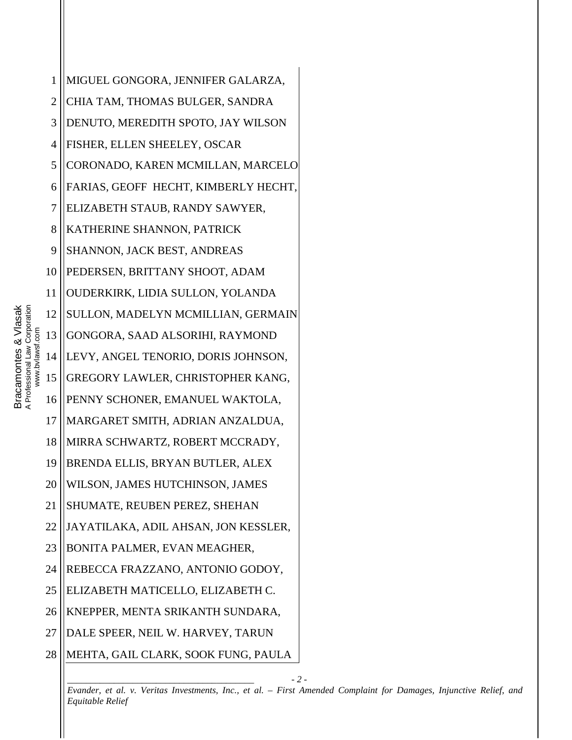1 2 3 4 5 6 7 8 9 10 11 12 13 14 15 16 17 18 19 20 21 22 23 24 25 26 27 28 MIGUEL GONGORA, JENNIFER GALARZA, CHIA TAM, THOMAS BULGER, SANDRA DENUTO, MEREDITH SPOTO, JAY WILSON FISHER, ELLEN SHEELEY, OSCAR CORONADO, KAREN MCMILLAN, MARCELO FARIAS, GEOFF HECHT, KIMBERLY HECHT, ELIZABETH STAUB, RANDY SAWYER, KATHERINE SHANNON, PATRICK SHANNON, JACK BEST, ANDREAS PEDERSEN, BRITTANY SHOOT, ADAM OUDERKIRK, LIDIA SULLON, YOLANDA SULLON, MADELYN MCMILLIAN, GERMAIN GONGORA, SAAD ALSORIHI, RAYMOND LEVY, ANGEL TENORIO, DORIS JOHNSON, GREGORY LAWLER, CHRISTOPHER KANG, PENNY SCHONER, EMANUEL WAKTOLA, MARGARET SMITH, ADRIAN ANZALDUA, MIRRA SCHWARTZ, ROBERT MCCRADY, BRENDA ELLIS, BRYAN BUTLER, ALEX WILSON, JAMES HUTCHINSON, JAMES SHUMATE, REUBEN PEREZ, SHEHAN JAYATILAKA, ADIL AHSAN, JON KESSLER, BONITA PALMER, EVAN MEAGHER, REBECCA FRAZZANO, ANTONIO GODOY, ELIZABETH MATICELLO, ELIZABETH C. KNEPPER, MENTA SRIKANTH SUNDARA, DALE SPEER, NEIL W. HARVEY, TARUN MEHTA, GAIL CLARK, SOOK FUNG, PAULA

*\_\_\_\_\_\_\_\_\_\_\_\_\_\_\_\_\_\_\_\_\_\_\_\_\_\_\_\_\_\_\_\_\_\_\_\_\_\_\_\_ - 2 - Evander, et al. v. Veritas Investments, Inc., et al. – First Amended Complaint for Damages, Injunctive Relief, and Equitable Relief*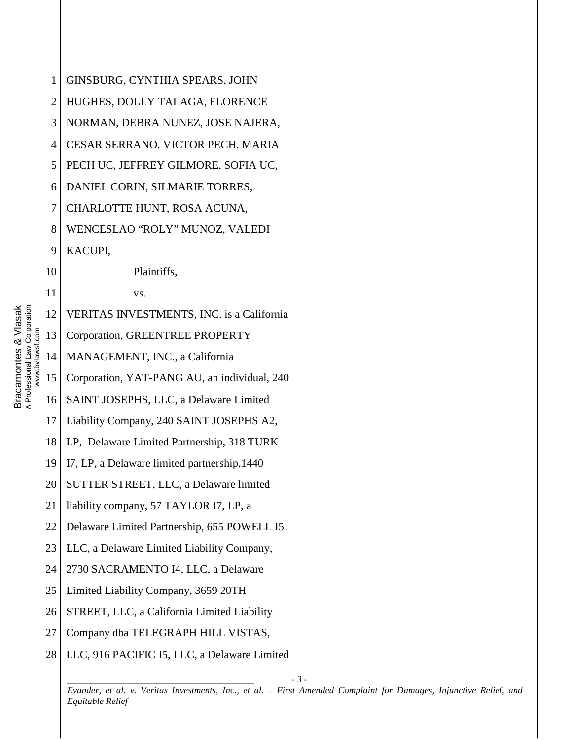| 1              | GINSBURG, CYNTHIA SPEARS, JOHN               |
|----------------|----------------------------------------------|
| $\mathbf{2}$   | HUGHES, DOLLY TALAGA, FLORENCE               |
| 3              | NORMAN, DEBRA NUNEZ, JOSE NAJERA,            |
| $\overline{4}$ | CESAR SERRANO, VICTOR PECH, MARIA            |
| 5              | PECH UC, JEFFREY GILMORE, SOFIA UC,          |
| 6              | DANIEL CORIN, SILMARIE TORRES,               |
| $\tau$         | CHARLOTTE HUNT, ROSA ACUNA,                  |
| 8              | WENCESLAO "ROLY" MUNOZ, VALEDI               |
| 9              | KACUPI,                                      |
| 10             | Plaintiffs,                                  |
| 11             | VS.                                          |
| 12             | VERITAS INVESTMENTS, INC. is a California    |
| 13             | Corporation, GREENTREE PROPERTY              |
| 14             | MANAGEMENT, INC., a California               |
| 15             | Corporation, YAT-PANG AU, an individual, 240 |
| 16             | SAINT JOSEPHS, LLC, a Delaware Limited       |
| 17             | Liability Company, 240 SAINT JOSEPHS A2,     |
| 18             | LP, Delaware Limited Partnership, 318 TURK   |
| 19             | I7, LP, a Delaware limited partnership, 1440 |
| 20             | SUTTER STREET, LLC, a Delaware limited       |
| 21             | liability company, 57 TAYLOR I7, LP, a       |
| 22             | Delaware Limited Partnership, 655 POWELL I5  |
| 23             | LLC, a Delaware Limited Liability Company,   |
| 24             | 2730 SACRAMENTO I4, LLC, a Delaware          |
| 25             | Limited Liability Company, 3659 20TH         |
| 26             | STREET, LLC, a California Limited Liability  |
| 27             | Company dba TELEGRAPH HILL VISTAS,           |
| 28             | LLC, 916 PACIFIC 15, LLC, a Delaware Limited |
|                |                                              |

*\_\_\_\_\_\_\_\_\_\_\_\_\_\_\_\_\_\_\_\_\_\_\_\_\_\_\_\_\_\_\_\_\_\_\_\_\_\_\_\_ - 3 - Evander, et al. v. Veritas Investments, Inc., et al. – First Amended Complaint for Damages, Injunctive Relief, and Equitable Relief*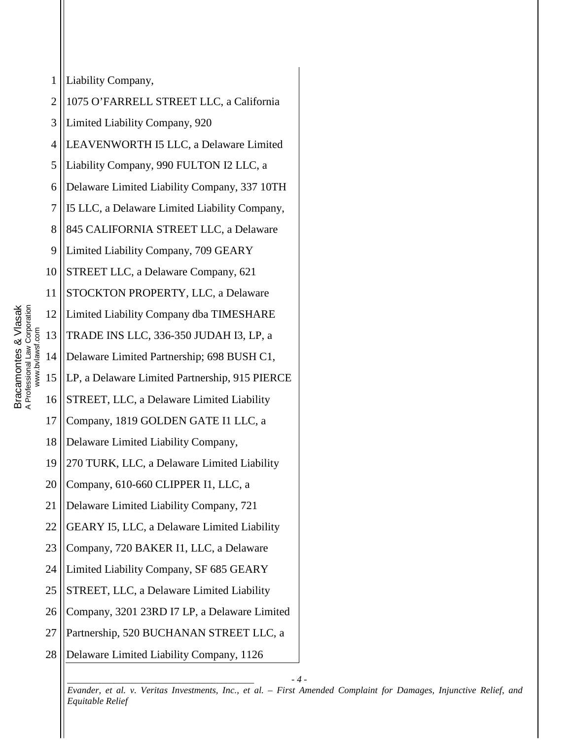| 1                | Liability Company,                             |
|------------------|------------------------------------------------|
| $\overline{c}$   | 1075 O'FARRELL STREET LLC, a California        |
| 3                | Limited Liability Company, 920                 |
| $\overline{4}$   | LEAVENWORTH I5 LLC, a Delaware Limited         |
| 5                | Liability Company, 990 FULTON I2 LLC, a        |
| 6                | Delaware Limited Liability Company, 337 10TH   |
| $\boldsymbol{7}$ | I5 LLC, a Delaware Limited Liability Company,  |
| 8                | 845 CALIFORNIA STREET LLC, a Delaware          |
| 9                | Limited Liability Company, 709 GEARY           |
| 10               | STREET LLC, a Delaware Company, 621            |
| 11               | STOCKTON PROPERTY, LLC, a Delaware             |
| 12               | Limited Liability Company dba TIMESHARE        |
| 13               | TRADE INS LLC, 336-350 JUDAH I3, LP, a         |
| 14               | Delaware Limited Partnership; 698 BUSH C1,     |
| 15               | LP, a Delaware Limited Partnership, 915 PIERCE |
| 16               | STREET, LLC, a Delaware Limited Liability      |
| 17               | Company, 1819 GOLDEN GATE I1 LLC, a            |
| 18               | Delaware Limited Liability Company,            |
| 19               | 270 TURK, LLC, a Delaware Limited Liability    |
| 20               | Company, 610-660 CLIPPER I1, LLC, a            |
| 21               | Delaware Limited Liability Company, 721        |
| 22               | GEARY I5, LLC, a Delaware Limited Liability    |
| 23               | Company, 720 BAKER I1, LLC, a Delaware         |
| 24               | Limited Liability Company, SF 685 GEARY        |
| 25               | STREET, LLC, a Delaware Limited Liability      |
| 26               | Company, 3201 23RD I7 LP, a Delaware Limited   |
| 27               | Partnership, 520 BUCHANAN STREET LLC, a        |
| 28               | Delaware Limited Liability Company, 1126       |
|                  |                                                |

*\_\_\_\_\_\_\_\_\_\_\_\_\_\_\_\_\_\_\_\_\_\_\_\_\_\_\_\_\_\_\_\_\_\_\_\_\_\_\_\_ - 4 - Evander, et al. v. Veritas Investments, Inc., et al. – First Amended Complaint for Damages, Injunctive Relief, and Equitable Relief*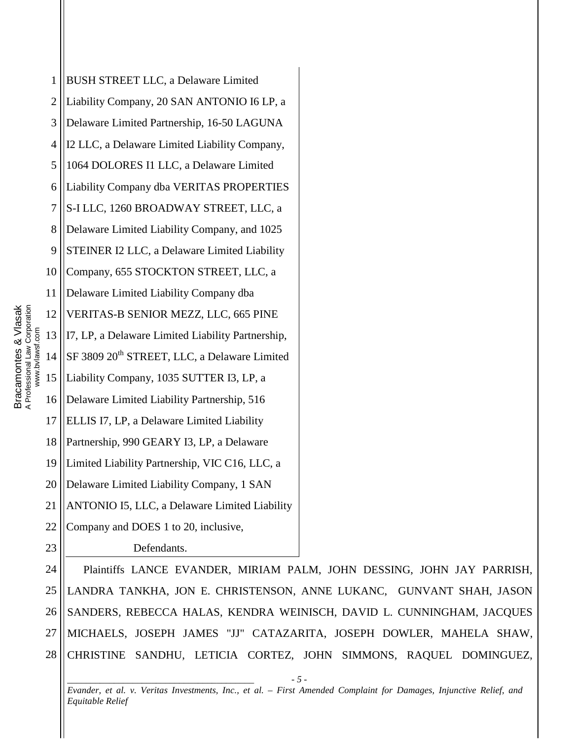| 1              | BUSH STREET LLC, a Delaware Limited                      |
|----------------|----------------------------------------------------------|
| $\overline{2}$ | Liability Company, 20 SAN ANTONIO I6 LP, a               |
| 3              | Delaware Limited Partnership, 16-50 LAGUNA               |
| $\overline{4}$ | I2 LLC, a Delaware Limited Liability Company,            |
| 5              | 1064 DOLORES I1 LLC, a Delaware Limited                  |
| 6              | Liability Company dba VERITAS PROPERTIES                 |
| $\overline{7}$ | S-I LLC, 1260 BROADWAY STREET, LLC, a                    |
| 8              | Delaware Limited Liability Company, and 1025             |
| 9              | STEINER I2 LLC, a Delaware Limited Liability             |
| 10             | Company, 655 STOCKTON STREET, LLC, a                     |
| 11             | Delaware Limited Liability Company dba                   |
| 12             | VERITAS-B SENIOR MEZZ, LLC, 665 PINE                     |
| 13             | I7, LP, a Delaware Limited Liability Partnership,        |
| 14             | SF 3809 20 <sup>th</sup> STREET, LLC, a Delaware Limited |
| 15             | Liability Company, 1035 SUTTER I3, LP, a                 |
| 16             | Delaware Limited Liability Partnership, 516              |
| 17             | ELLIS I7, LP, a Delaware Limited Liability               |
| 18             | Partnership, 990 GEARY I3, LP, a Delaware                |
| 19             | Limited Liability Partnership, VIC C16, LLC, a           |
| 20             | Delaware Limited Liability Company, 1 SAN                |
| 21             | ANTONIO I5, LLC, a Delaware Limited Liability            |
| 22             | Company and DOES 1 to 20, inclusive,                     |
| 23             | Defendants.                                              |

24 26 28 Plaintiffs LANCE EVANDER, MIRIAM PALM, JOHN DESSING, JOHN JAY PARRISH, LANDRA TANKHA, JON E. CHRISTENSON, ANNE LUKANC, GUNVANT SHAH, JASON SANDERS, REBECCA HALAS, KENDRA WEINISCH, DAVID L. CUNNINGHAM, JACQUES MICHAELS, JOSEPH JAMES "JJ" CATAZARITA, JOSEPH DOWLER, MAHELA SHAW, CHRISTINE SANDHU, LETICIA CORTEZ, JOHN SIMMONS, RAQUEL DOMINGUEZ,

Bracamontes & Vlasak<br>A Professional Law Corporation<br>www.bvlawsf.com Bracamontes & Vlasak A Professional Law Corporation www.bvlawsf.com

25

27

*\_\_\_\_\_\_\_\_\_\_\_\_\_\_\_\_\_\_\_\_\_\_\_\_\_\_\_\_\_\_\_\_\_\_\_\_\_\_\_\_ - 5 - Evander, et al. v. Veritas Investments, Inc., et al. – First Amended Complaint for Damages, Injunctive Relief, and Equitable Relief*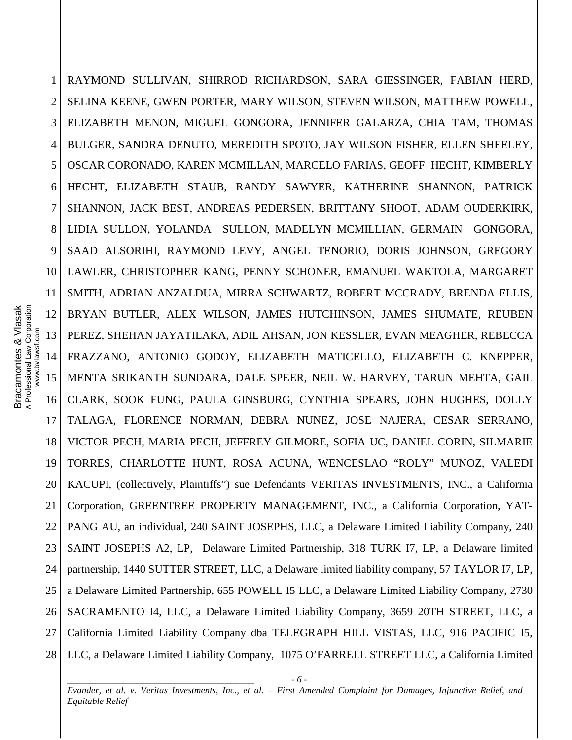1 2 3 4 5 6 7 8 9 10 11 12 13 14 15 16 17 18 19 20 21 22 23 24 25 26 27 28 RAYMOND SULLIVAN, SHIRROD RICHARDSON, SARA GIESSINGER, FABIAN HERD, SELINA KEENE, GWEN PORTER, MARY WILSON, STEVEN WILSON, MATTHEW POWELL, ELIZABETH MENON, MIGUEL GONGORA, JENNIFER GALARZA, CHIA TAM, THOMAS BULGER, SANDRA DENUTO, MEREDITH SPOTO, JAY WILSON FISHER, ELLEN SHEELEY, OSCAR CORONADO, KAREN MCMILLAN, MARCELO FARIAS, GEOFF HECHT, KIMBERLY HECHT, ELIZABETH STAUB, RANDY SAWYER, KATHERINE SHANNON, PATRICK SHANNON, JACK BEST, ANDREAS PEDERSEN, BRITTANY SHOOT, ADAM OUDERKIRK, LIDIA SULLON, YOLANDA SULLON, MADELYN MCMILLIAN, GERMAIN GONGORA, SAAD ALSORIHI, RAYMOND LEVY, ANGEL TENORIO, DORIS JOHNSON, GREGORY LAWLER, CHRISTOPHER KANG, PENNY SCHONER, EMANUEL WAKTOLA, MARGARET SMITH, ADRIAN ANZALDUA, MIRRA SCHWARTZ, ROBERT MCCRADY, BRENDA ELLIS, BRYAN BUTLER, ALEX WILSON, JAMES HUTCHINSON, JAMES SHUMATE, REUBEN PEREZ, SHEHAN JAYATILAKA, ADIL AHSAN, JON KESSLER, EVAN MEAGHER, REBECCA FRAZZANO, ANTONIO GODOY, ELIZABETH MATICELLO, ELIZABETH C. KNEPPER, MENTA SRIKANTH SUNDARA, DALE SPEER, NEIL W. HARVEY, TARUN MEHTA, GAIL CLARK, SOOK FUNG, PAULA GINSBURG, CYNTHIA SPEARS, JOHN HUGHES, DOLLY TALAGA, FLORENCE NORMAN, DEBRA NUNEZ, JOSE NAJERA, CESAR SERRANO, VICTOR PECH, MARIA PECH, JEFFREY GILMORE, SOFIA UC, DANIEL CORIN, SILMARIE TORRES, CHARLOTTE HUNT, ROSA ACUNA, WENCESLAO "ROLY" MUNOZ, VALEDI KACUPI, (collectively, Plaintiffs") sue Defendants VERITAS INVESTMENTS, INC., a California Corporation, GREENTREE PROPERTY MANAGEMENT, INC., a California Corporation, YAT-PANG AU, an individual, 240 SAINT JOSEPHS, LLC, a Delaware Limited Liability Company, 240 SAINT JOSEPHS A2, LP, Delaware Limited Partnership, 318 TURK I7, LP, a Delaware limited partnership, 1440 SUTTER STREET, LLC, a Delaware limited liability company, 57 TAYLOR I7, LP, a Delaware Limited Partnership, 655 POWELL I5 LLC, a Delaware Limited Liability Company, 2730 SACRAMENTO I4, LLC, a Delaware Limited Liability Company, 3659 20TH STREET, LLC, a California Limited Liability Company dba TELEGRAPH HILL VISTAS, LLC, 916 PACIFIC I5, LLC, a Delaware Limited Liability Company, 1075 O'FARRELL STREET LLC, a California Limited

*\_\_\_\_\_\_\_\_\_\_\_\_\_\_\_\_\_\_\_\_\_\_\_\_\_\_\_\_\_\_\_\_\_\_\_\_\_\_\_\_ - 6 - Evander, et al. v. Veritas Investments, Inc., et al. – First Amended Complaint for Damages, Injunctive Relief, and Equitable Relief*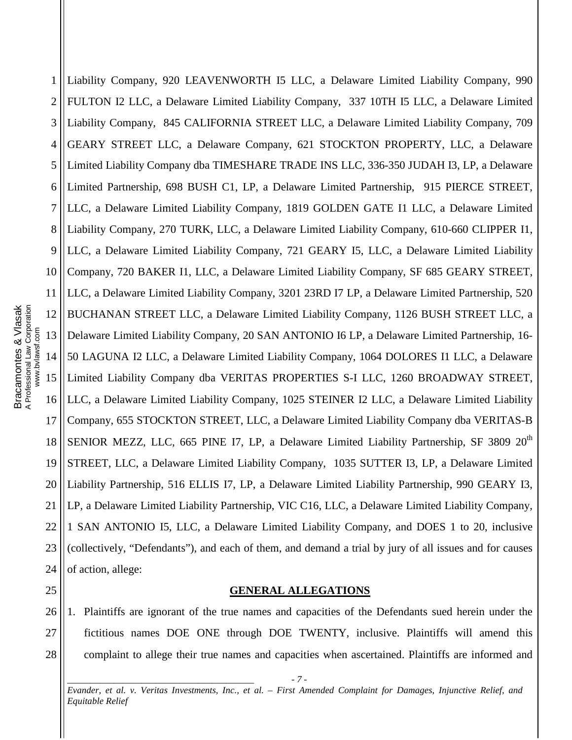1 2 3 4 5 6 7 8 9 10 11 12 13 14 15 16 17 18 19 20 21 22 23 24 Liability Company, 920 LEAVENWORTH I5 LLC, a Delaware Limited Liability Company, 990 FULTON I2 LLC, a Delaware Limited Liability Company, 337 10TH I5 LLC, a Delaware Limited Liability Company, 845 CALIFORNIA STREET LLC, a Delaware Limited Liability Company, 709 GEARY STREET LLC, a Delaware Company, 621 STOCKTON PROPERTY, LLC, a Delaware Limited Liability Company dba TIMESHARE TRADE INS LLC, 336-350 JUDAH I3, LP, a Delaware Limited Partnership, 698 BUSH C1, LP, a Delaware Limited Partnership, 915 PIERCE STREET, LLC, a Delaware Limited Liability Company, 1819 GOLDEN GATE I1 LLC, a Delaware Limited Liability Company, 270 TURK, LLC, a Delaware Limited Liability Company, 610-660 CLIPPER I1, LLC, a Delaware Limited Liability Company, 721 GEARY I5, LLC, a Delaware Limited Liability Company, 720 BAKER I1, LLC, a Delaware Limited Liability Company, SF 685 GEARY STREET, LLC, a Delaware Limited Liability Company, 3201 23RD I7 LP, a Delaware Limited Partnership, 520 BUCHANAN STREET LLC, a Delaware Limited Liability Company, 1126 BUSH STREET LLC, a Delaware Limited Liability Company, 20 SAN ANTONIO I6 LP, a Delaware Limited Partnership, 16- 50 LAGUNA I2 LLC, a Delaware Limited Liability Company, 1064 DOLORES I1 LLC, a Delaware Limited Liability Company dba VERITAS PROPERTIES S-I LLC, 1260 BROADWAY STREET, LLC, a Delaware Limited Liability Company, 1025 STEINER I2 LLC, a Delaware Limited Liability Company, 655 STOCKTON STREET, LLC, a Delaware Limited Liability Company dba VERITAS-B SENIOR MEZZ, LLC, 665 PINE 17, LP, a Delaware Limited Liability Partnership, SF 3809 20<sup>th</sup> STREET, LLC, a Delaware Limited Liability Company, 1035 SUTTER I3, LP, a Delaware Limited Liability Partnership, 516 ELLIS I7, LP, a Delaware Limited Liability Partnership, 990 GEARY I3, LP, a Delaware Limited Liability Partnership, VIC C16, LLC, a Delaware Limited Liability Company, 1 SAN ANTONIO I5, LLC, a Delaware Limited Liability Company, and DOES 1 to 20, inclusive (collectively, "Defendants"), and each of them, and demand a trial by jury of all issues and for causes of action, allege:

### **GENERAL ALLEGATIONS**

1. Plaintiffs are ignorant of the true names and capacities of the Defendants sued herein under the fictitious names DOE ONE through DOE TWENTY, inclusive. Plaintiffs will amend this complaint to allege their true names and capacities when ascertained. Plaintiffs are informed and

*\_\_\_\_\_\_\_\_\_\_\_\_\_\_\_\_\_\_\_\_\_\_\_\_\_\_\_\_\_\_\_\_\_\_\_\_\_\_\_\_ - 7 - Evander, et al. v. Veritas Investments, Inc., et al. – First Amended Complaint for Damages, Injunctive Relief, and Equitable Relief* 

Bracamontes & Vlasak<br>A Professional Law Corporation<br>www.bvlawsf.com Bracamontes & Vlasak A Professional Law Corporation www.bvlawsf.com

25

26

27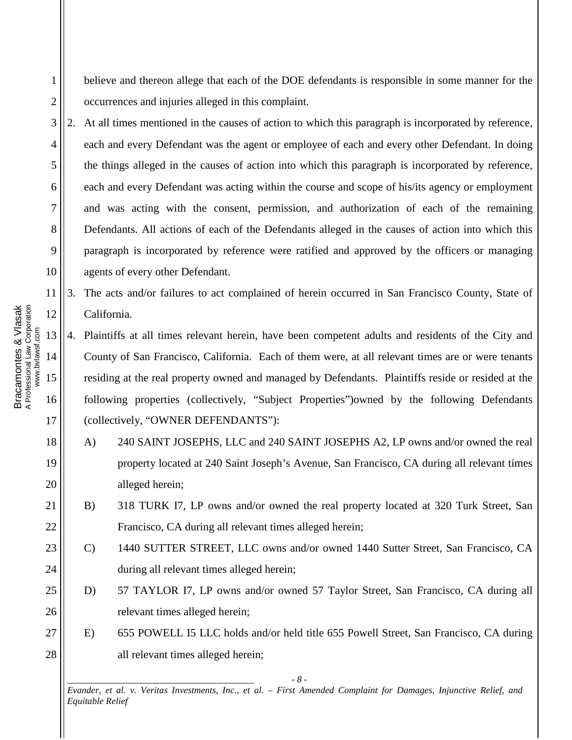believe and thereon allege that each of the DOE defendants is responsible in some manner for the occurrences and injuries alleged in this complaint.

3 4 5 6 7 8 9 10 2. At all times mentioned in the causes of action to which this paragraph is incorporated by reference, each and every Defendant was the agent or employee of each and every other Defendant. In doing the things alleged in the causes of action into which this paragraph is incorporated by reference, each and every Defendant was acting within the course and scope of his/its agency or employment and was acting with the consent, permission, and authorization of each of the remaining Defendants. All actions of each of the Defendants alleged in the causes of action into which this paragraph is incorporated by reference were ratified and approved by the officers or managing agents of every other Defendant.

3. The acts and/or failures to act complained of herein occurred in San Francisco County, State of California.

4. Plaintiffs at all times relevant herein, have been competent adults and residents of the City and County of San Francisco, California. Each of them were, at all relevant times are or were tenants residing at the real property owned and managed by Defendants. Plaintiffs reside or resided at the following properties (collectively, "Subject Properties")owned by the following Defendants (collectively, "OWNER DEFENDANTS"):

- A) 240 SAINT JOSEPHS, LLC and 240 SAINT JOSEPHS A2, LP owns and/or owned the real property located at 240 Saint Joseph's Avenue, San Francisco, CA during all relevant times alleged herein;
- B) 318 TURK I7, LP owns and/or owned the real property located at 320 Turk Street, San Francisco, CA during all relevant times alleged herein;
- C) 1440 SUTTER STREET, LLC owns and/or owned 1440 Sutter Street, San Francisco, CA during all relevant times alleged herein;
- D) 57 TAYLOR I7, LP owns and/or owned 57 Taylor Street, San Francisco, CA during all relevant times alleged herein;
- E) 655 POWELL I5 LLC holds and/or held title 655 Powell Street, San Francisco, CA during all relevant times alleged herein;

Bracamontes & Vlasak<br>A Professional Law Corporation<br>www.bvlawsf.com Bracamontes & Vlasak A Professional Law Corporation 12 www.bvlawsf.com 13 14

11

1

2

*Evander, et al. v. Veritas Investments, Inc., et al. – First Amended Complaint for Damages, Injunctive Relief, and Equitable Relief*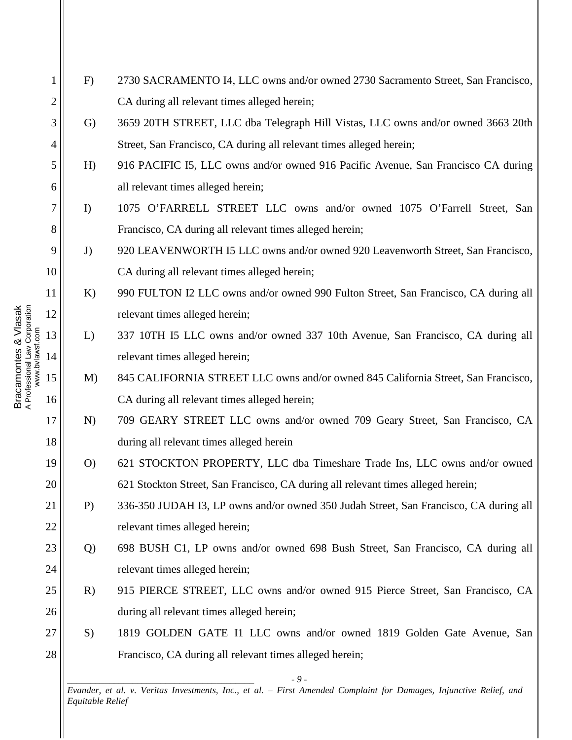- F) 2730 SACRAMENTO I4, LLC owns and/or owned 2730 Sacramento Street, San Francisco, CA during all relevant times alleged herein;
	- G) 3659 20TH STREET, LLC dba Telegraph Hill Vistas, LLC owns and/or owned 3663 20th Street, San Francisco, CA during all relevant times alleged herein;
	- H) 916 PACIFIC I5, LLC owns and/or owned 916 Pacific Avenue, San Francisco CA during all relevant times alleged herein;
	- I) 1075 O'FARRELL STREET LLC owns and/or owned 1075 O'Farrell Street, San Francisco, CA during all relevant times alleged herein;
	- J) 920 LEAVENWORTH I5 LLC owns and/or owned 920 Leavenworth Street, San Francisco, CA during all relevant times alleged herein;
- K) 990 FULTON I2 LLC owns and/or owned 990 Fulton Street, San Francisco, CA during all relevant times alleged herein;
	- L) 337 10TH I5 LLC owns and/or owned 337 10th Avenue, San Francisco, CA during all relevant times alleged herein;
- M) 845 CALIFORNIA STREET LLC owns and/or owned 845 California Street, San Francisco, CA during all relevant times alleged herein;
- N) 709 GEARY STREET LLC owns and/or owned 709 Geary Street, San Francisco, CA during all relevant times alleged herein
- O) 621 STOCKTON PROPERTY, LLC dba Timeshare Trade Ins, LLC owns and/or owned 621 Stockton Street, San Francisco, CA during all relevant times alleged herein;
- P) 336-350 JUDAH I3, LP owns and/or owned 350 Judah Street, San Francisco, CA during all relevant times alleged herein;
- Q) 698 BUSH C1, LP owns and/or owned 698 Bush Street, San Francisco, CA during all relevant times alleged herein;
- R) 915 PIERCE STREET, LLC owns and/or owned 915 Pierce Street, San Francisco, CA during all relevant times alleged herein;
- S) 1819 GOLDEN GATE I1 LLC owns and/or owned 1819 Golden Gate Avenue, San Francisco, CA during all relevant times alleged herein;

*\_\_\_\_\_\_\_\_\_\_\_\_\_\_\_\_\_\_\_\_\_\_\_\_\_\_\_\_\_\_\_\_\_\_\_\_\_\_\_\_ - 9 - Evander, et al. v. Veritas Investments, Inc., et al. – First Amended Complaint for Damages, Injunctive Relief, and Equitable Relief* 

1

2

3

4

5

6

7

8

9

10

11

12

13

14

15

16

17

18

19

20

21

22

23

24

25

26

27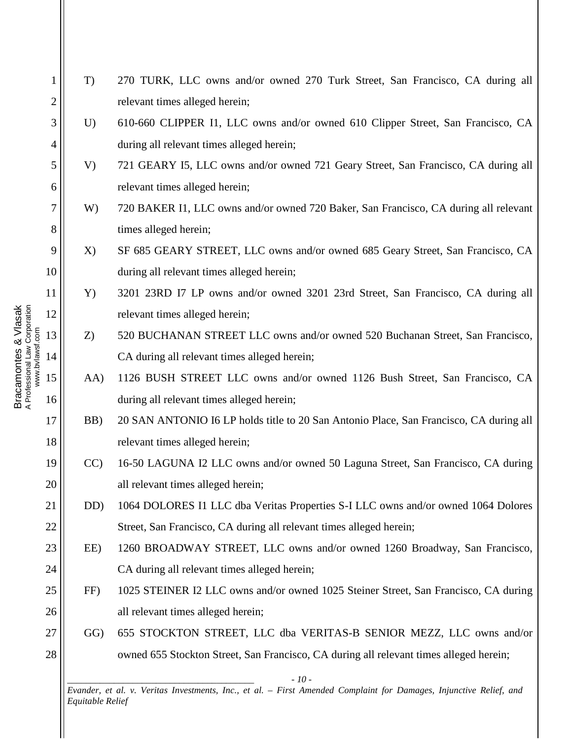1 2 3 4 5 6 7 8 9 10 11 12 13 14 15 16 17 18 19 20 21 22 23 24 25 26 27 28 T) 270 TURK, LLC owns and/or owned 270 Turk Street, San Francisco, CA during all relevant times alleged herein; U) 610-660 CLIPPER I1, LLC owns and/or owned 610 Clipper Street, San Francisco, CA during all relevant times alleged herein; V) 721 GEARY I5, LLC owns and/or owned 721 Geary Street, San Francisco, CA during all relevant times alleged herein; W) 720 BAKER I1, LLC owns and/or owned 720 Baker, San Francisco, CA during all relevant times alleged herein; X) SF 685 GEARY STREET, LLC owns and/or owned 685 Geary Street, San Francisco, CA during all relevant times alleged herein; Y) 3201 23RD I7 LP owns and/or owned 3201 23rd Street, San Francisco, CA during all relevant times alleged herein; Z) 520 BUCHANAN STREET LLC owns and/or owned 520 Buchanan Street, San Francisco, CA during all relevant times alleged herein; AA) 1126 BUSH STREET LLC owns and/or owned 1126 Bush Street, San Francisco, CA during all relevant times alleged herein; BB) 20 SAN ANTONIO I6 LP holds title to 20 San Antonio Place, San Francisco, CA during all relevant times alleged herein; CC) 16-50 LAGUNA I2 LLC owns and/or owned 50 Laguna Street, San Francisco, CA during all relevant times alleged herein; DD) 1064 DOLORES I1 LLC dba Veritas Properties S-I LLC owns and/or owned 1064 Dolores Street, San Francisco, CA during all relevant times alleged herein; EE) 1260 BROADWAY STREET, LLC owns and/or owned 1260 Broadway, San Francisco, CA during all relevant times alleged herein; FF) 1025 STEINER I2 LLC owns and/or owned 1025 Steiner Street, San Francisco, CA during all relevant times alleged herein; GG) 655 STOCKTON STREET, LLC dba VERITAS-B SENIOR MEZZ, LLC owns and/or owned 655 Stockton Street, San Francisco, CA during all relevant times alleged herein;

*\_\_\_\_\_\_\_\_\_\_\_\_\_\_\_\_\_\_\_\_\_\_\_\_\_\_\_\_\_\_\_\_\_\_\_\_\_\_\_\_ - 10 - Evander, et al. v. Veritas Investments, Inc., et al. – First Amended Complaint for Damages, Injunctive Relief, and Equitable Relief*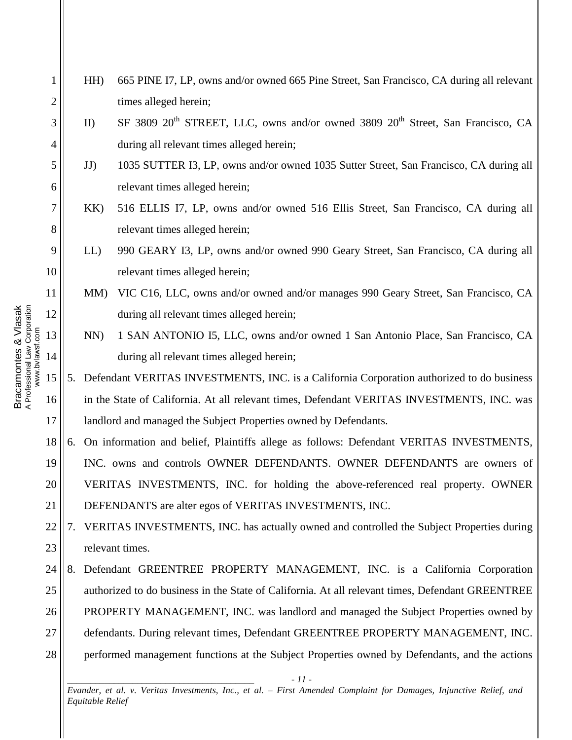*\_\_\_\_\_\_\_\_\_\_\_\_\_\_\_\_\_\_\_\_\_\_\_\_\_\_\_\_\_\_\_\_\_\_\_\_\_\_\_\_ - 11 -* 1 2 3 4 5 6 7 8 9 10 11 12 13 14 15 16 17 18 19 20 21 22 23 24 25 26 27 28 HH) 665 PINE I7, LP, owns and/or owned 665 Pine Street, San Francisco, CA during all relevant times alleged herein; II) SF 3809 20<sup>th</sup> STREET, LLC, owns and/or owned 3809 20<sup>th</sup> Street, San Francisco, CA during all relevant times alleged herein; JJ) 1035 SUTTER I3, LP, owns and/or owned 1035 Sutter Street, San Francisco, CA during all relevant times alleged herein; KK) 516 ELLIS I7, LP, owns and/or owned 516 Ellis Street, San Francisco, CA during all relevant times alleged herein; LL) 990 GEARY I3, LP, owns and/or owned 990 Geary Street, San Francisco, CA during all relevant times alleged herein; MM) VIC C16, LLC, owns and/or owned and/or manages 990 Geary Street, San Francisco, CA during all relevant times alleged herein; NN) 1 SAN ANTONIO I5, LLC, owns and/or owned 1 San Antonio Place, San Francisco, CA during all relevant times alleged herein; 5. Defendant VERITAS INVESTMENTS, INC. is a California Corporation authorized to do business in the State of California. At all relevant times, Defendant VERITAS INVESTMENTS, INC. was landlord and managed the Subject Properties owned by Defendants. 6. On information and belief, Plaintiffs allege as follows: Defendant VERITAS INVESTMENTS, INC. owns and controls OWNER DEFENDANTS. OWNER DEFENDANTS are owners of VERITAS INVESTMENTS, INC. for holding the above-referenced real property. OWNER DEFENDANTS are alter egos of VERITAS INVESTMENTS, INC. 7. VERITAS INVESTMENTS, INC. has actually owned and controlled the Subject Properties during relevant times. 8. Defendant GREENTREE PROPERTY MANAGEMENT, INC. is a California Corporation authorized to do business in the State of California. At all relevant times, Defendant GREENTREE PROPERTY MANAGEMENT, INC. was landlord and managed the Subject Properties owned by defendants. During relevant times, Defendant GREENTREE PROPERTY MANAGEMENT, INC. performed management functions at the Subject Properties owned by Defendants, and the actions

Bracamontes & Vlasak<br>A Professional Law Corporation<br>www.bvlawsf.com Bracamontes & Vlasak A Professional Law Corporation www.bvlawsf.com

*Evander, et al. v. Veritas Investments, Inc., et al. – First Amended Complaint for Damages, Injunctive Relief, and Equitable Relief*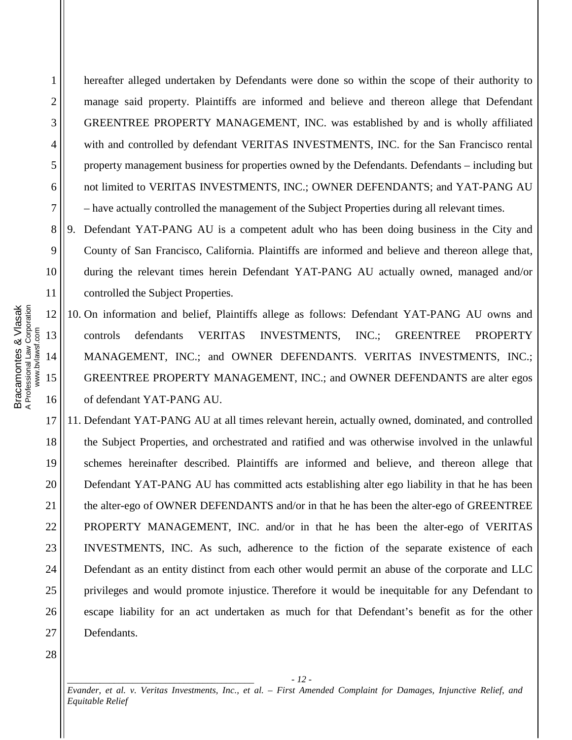hereafter alleged undertaken by Defendants were done so within the scope of their authority to manage said property. Plaintiffs are informed and believe and thereon allege that Defendant GREENTREE PROPERTY MANAGEMENT, INC. was established by and is wholly affiliated with and controlled by defendant VERITAS INVESTMENTS, INC. for the San Francisco rental property management business for properties owned by the Defendants. Defendants – including but not limited to VERITAS INVESTMENTS, INC.; OWNER DEFENDANTS; and YAT-PANG AU – have actually controlled the management of the Subject Properties during all relevant times.

9. Defendant YAT-PANG AU is a competent adult who has been doing business in the City and County of San Francisco, California. Plaintiffs are informed and believe and thereon allege that, during the relevant times herein Defendant YAT-PANG AU actually owned, managed and/or controlled the Subject Properties.

12 13 14 15 16 10. On information and belief, Plaintiffs allege as follows: Defendant YAT-PANG AU owns and controls defendants VERITAS INVESTMENTS, INC.; GREENTREE PROPERTY MANAGEMENT, INC.; and OWNER DEFENDANTS. VERITAS INVESTMENTS, INC.; GREENTREE PROPERTY MANAGEMENT, INC.; and OWNER DEFENDANTS are alter egos of defendant YAT-PANG AU.

11. Defendant YAT-PANG AU at all times relevant herein, actually owned, dominated, and controlled the Subject Properties, and orchestrated and ratified and was otherwise involved in the unlawful schemes hereinafter described. Plaintiffs are informed and believe, and thereon allege that Defendant YAT-PANG AU has committed acts establishing alter ego liability in that he has been the alter-ego of OWNER DEFENDANTS and/or in that he has been the alter-ego of GREENTREE PROPERTY MANAGEMENT, INC. and/or in that he has been the alter-ego of VERITAS INVESTMENTS, INC. As such, adherence to the fiction of the separate existence of each Defendant as an entity distinct from each other would permit an abuse of the corporate and LLC privileges and would promote injustice. Therefore it would be inequitable for any Defendant to escape liability for an act undertaken as much for that Defendant's benefit as for the other Defendants.

*\_\_\_\_\_\_\_\_\_\_\_\_\_\_\_\_\_\_\_\_\_\_\_\_\_\_\_\_\_\_\_\_\_\_\_\_\_\_\_\_ - 12 - Evander, et al. v. Veritas Investments, Inc., et al. – First Amended Complaint for Damages, Injunctive Relief, and Equitable Relief* 

1

2

3

4

5

6

7

8

9

10

11

17

18

19

20

21

22

23

24

25

26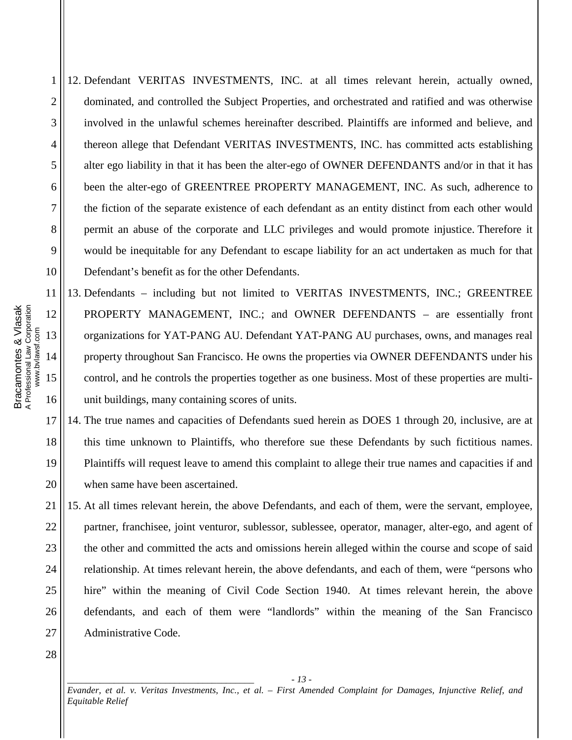12. Defendant VERITAS INVESTMENTS, INC. at all times relevant herein, actually owned, dominated, and controlled the Subject Properties, and orchestrated and ratified and was otherwise involved in the unlawful schemes hereinafter described. Plaintiffs are informed and believe, and thereon allege that Defendant VERITAS INVESTMENTS, INC. has committed acts establishing alter ego liability in that it has been the alter-ego of OWNER DEFENDANTS and/or in that it has been the alter-ego of GREENTREE PROPERTY MANAGEMENT, INC. As such, adherence to the fiction of the separate existence of each defendant as an entity distinct from each other would permit an abuse of the corporate and LLC privileges and would promote injustice. Therefore it would be inequitable for any Defendant to escape liability for an act undertaken as much for that Defendant's benefit as for the other Defendants.

13. Defendants – including but not limited to VERITAS INVESTMENTS, INC.; GREENTREE PROPERTY MANAGEMENT, INC.; and OWNER DEFENDANTS – are essentially front organizations for YAT-PANG AU. Defendant YAT-PANG AU purchases, owns, and manages real property throughout San Francisco. He owns the properties via OWNER DEFENDANTS under his control, and he controls the properties together as one business. Most of these properties are multiunit buildings, many containing scores of units.

14. The true names and capacities of Defendants sued herein as DOES 1 through 20, inclusive, are at this time unknown to Plaintiffs, who therefore sue these Defendants by such fictitious names. Plaintiffs will request leave to amend this complaint to allege their true names and capacities if and when same have been ascertained.

15. At all times relevant herein, the above Defendants, and each of them, were the servant, employee, partner, franchisee, joint venturor, sublessor, sublessee, operator, manager, alter-ego, and agent of the other and committed the acts and omissions herein alleged within the course and scope of said relationship. At times relevant herein, the above defendants, and each of them, were "persons who hire" within the meaning of Civil Code Section 1940. At times relevant herein, the above defendants, and each of them were "landlords" within the meaning of the San Francisco Administrative Code.

28

*\_\_\_\_\_\_\_\_\_\_\_\_\_\_\_\_\_\_\_\_\_\_\_\_\_\_\_\_\_\_\_\_\_\_\_\_\_\_\_\_ - 13 - Evander, et al. v. Veritas Investments, Inc., et al. – First Amended Complaint for Damages, Injunctive Relief, and Equitable Relief* 

Bracamontes & Vlasak<br>A Professional Law Corporation<br>www.bvlawsf.com Bracamontes & Vlasak A Professional Law Corporation 12 www.bvlawsf.com 13 14 15 16

1

2

3

4

5

6

7

8

9

10

11

17

18

19

20

21

22

23

24

25

26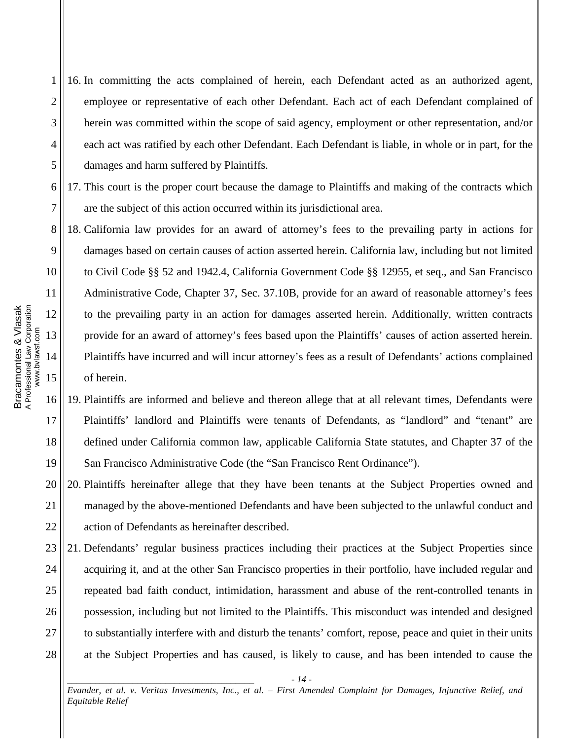16. In committing the acts complained of herein, each Defendant acted as an authorized agent, employee or representative of each other Defendant. Each act of each Defendant complained of herein was committed within the scope of said agency, employment or other representation, and/or each act was ratified by each other Defendant. Each Defendant is liable, in whole or in part, for the damages and harm suffered by Plaintiffs.

17. This court is the proper court because the damage to Plaintiffs and making of the contracts which are the subject of this action occurred within its jurisdictional area.

18. California law provides for an award of attorney's fees to the prevailing party in actions for damages based on certain causes of action asserted herein. California law, including but not limited to Civil Code §§ 52 and 1942.4, California Government Code §§ 12955, et seq., and San Francisco Administrative Code, Chapter 37, Sec. 37.10B, provide for an award of reasonable attorney's fees to the prevailing party in an action for damages asserted herein. Additionally, written contracts provide for an award of attorney's fees based upon the Plaintiffs' causes of action asserted herein. Plaintiffs have incurred and will incur attorney's fees as a result of Defendants' actions complained of herein.

16 17 18 19 19. Plaintiffs are informed and believe and thereon allege that at all relevant times, Defendants were Plaintiffs' landlord and Plaintiffs were tenants of Defendants, as "landlord" and "tenant" are defined under California common law, applicable California State statutes, and Chapter 37 of the San Francisco Administrative Code (the "San Francisco Rent Ordinance").

20 21 22 20. Plaintiffs hereinafter allege that they have been tenants at the Subject Properties owned and managed by the above-mentioned Defendants and have been subjected to the unlawful conduct and action of Defendants as hereinafter described.

23 24 25 26 27 28 21. Defendants' regular business practices including their practices at the Subject Properties since acquiring it, and at the other San Francisco properties in their portfolio, have included regular and repeated bad faith conduct, intimidation, harassment and abuse of the rent-controlled tenants in possession, including but not limited to the Plaintiffs. This misconduct was intended and designed to substantially interfere with and disturb the tenants' comfort, repose, peace and quiet in their units at the Subject Properties and has caused, is likely to cause, and has been intended to cause the

*\_\_\_\_\_\_\_\_\_\_\_\_\_\_\_\_\_\_\_\_\_\_\_\_\_\_\_\_\_\_\_\_\_\_\_\_\_\_\_\_ - 14 - Evander, et al. v. Veritas Investments, Inc., et al. – First Amended Complaint for Damages, Injunctive Relief, and Equitable Relief* 

1

2

3

4

5

6

7

8

9

10

11

12

13

14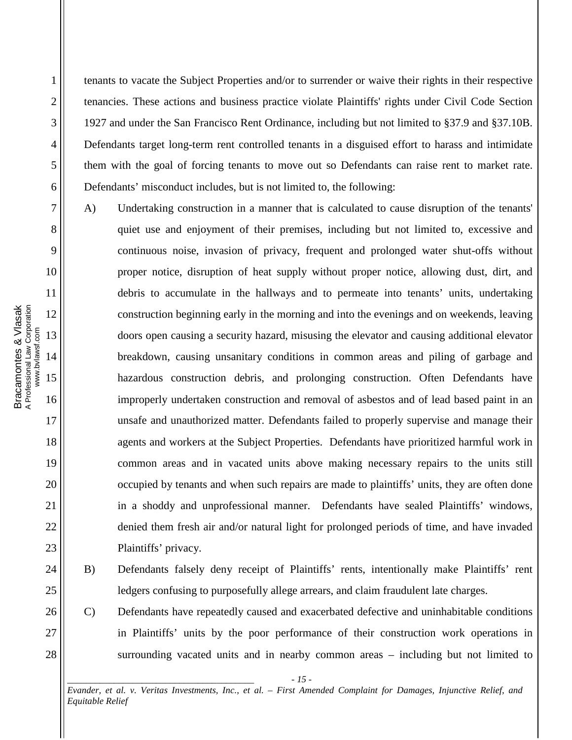tenants to vacate the Subject Properties and/or to surrender or waive their rights in their respective tenancies. These actions and business practice violate Plaintiffs' rights under Civil Code Section 1927 and under the San Francisco Rent Ordinance, including but not limited to §37.9 and §37.10B. Defendants target long-term rent controlled tenants in a disguised effort to harass and intimidate them with the goal of forcing tenants to move out so Defendants can raise rent to market rate. Defendants' misconduct includes, but is not limited to, the following:

A) Undertaking construction in a manner that is calculated to cause disruption of the tenants' quiet use and enjoyment of their premises, including but not limited to, excessive and continuous noise, invasion of privacy, frequent and prolonged water shut-offs without proper notice, disruption of heat supply without proper notice, allowing dust, dirt, and debris to accumulate in the hallways and to permeate into tenants' units, undertaking construction beginning early in the morning and into the evenings and on weekends, leaving doors open causing a security hazard, misusing the elevator and causing additional elevator breakdown, causing unsanitary conditions in common areas and piling of garbage and hazardous construction debris, and prolonging construction. Often Defendants have improperly undertaken construction and removal of asbestos and of lead based paint in an unsafe and unauthorized matter. Defendants failed to properly supervise and manage their agents and workers at the Subject Properties. Defendants have prioritized harmful work in common areas and in vacated units above making necessary repairs to the units still occupied by tenants and when such repairs are made to plaintiffs' units, they are often done in a shoddy and unprofessional manner. Defendants have sealed Plaintiffs' windows, denied them fresh air and/or natural light for prolonged periods of time, and have invaded Plaintiffs' privacy.

- B) Defendants falsely deny receipt of Plaintiffs' rents, intentionally make Plaintiffs' rent ledgers confusing to purposefully allege arrears, and claim fraudulent late charges.
- C) Defendants have repeatedly caused and exacerbated defective and uninhabitable conditions in Plaintiffs' units by the poor performance of their construction work operations in surrounding vacated units and in nearby common areas – including but not limited to

*\_\_\_\_\_\_\_\_\_\_\_\_\_\_\_\_\_\_\_\_\_\_\_\_\_\_\_\_\_\_\_\_\_\_\_\_\_\_\_\_ - 15 - Evander, et al. v. Veritas Investments, Inc., et al. – First Amended Complaint for Damages, Injunctive Relief, and Equitable Relief* 

1

2

3

4

5

6

7

8

9

10

11

12

13

14

15

16

17

18

19

20

21

22

23

24

25

26

27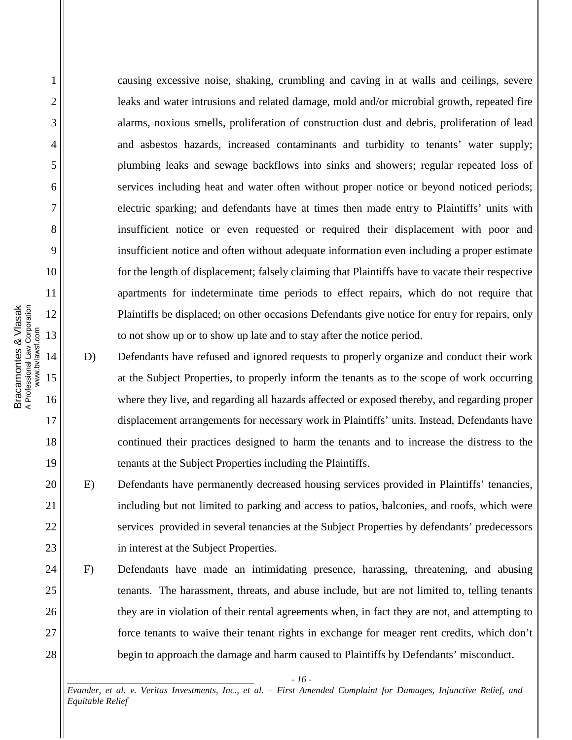causing excessive noise, shaking, crumbling and caving in at walls and ceilings, severe leaks and water intrusions and related damage, mold and/or microbial growth, repeated fire alarms, noxious smells, proliferation of construction dust and debris, proliferation of lead and asbestos hazards, increased contaminants and turbidity to tenants' water supply; plumbing leaks and sewage backflows into sinks and showers; regular repeated loss of services including heat and water often without proper notice or beyond noticed periods; electric sparking; and defendants have at times then made entry to Plaintiffs' units with insufficient notice or even requested or required their displacement with poor and insufficient notice and often without adequate information even including a proper estimate for the length of displacement; falsely claiming that Plaintiffs have to vacate their respective apartments for indeterminate time periods to effect repairs, which do not require that Plaintiffs be displaced; on other occasions Defendants give notice for entry for repairs, only to not show up or to show up late and to stay after the notice period.

- D) Defendants have refused and ignored requests to properly organize and conduct their work at the Subject Properties, to properly inform the tenants as to the scope of work occurring where they live, and regarding all hazards affected or exposed thereby, and regarding proper displacement arrangements for necessary work in Plaintiffs' units. Instead, Defendants have continued their practices designed to harm the tenants and to increase the distress to the tenants at the Subject Properties including the Plaintiffs.
- E) Defendants have permanently decreased housing services provided in Plaintiffs' tenancies, including but not limited to parking and access to patios, balconies, and roofs, which were services provided in several tenancies at the Subject Properties by defendants' predecessors in interest at the Subject Properties.
- F) Defendants have made an intimidating presence, harassing, threatening, and abusing tenants. The harassment, threats, and abuse include, but are not limited to, telling tenants they are in violation of their rental agreements when, in fact they are not, and attempting to force tenants to waive their tenant rights in exchange for meager rent credits, which don't begin to approach the damage and harm caused to Plaintiffs by Defendants' misconduct.

*\_\_\_\_\_\_\_\_\_\_\_\_\_\_\_\_\_\_\_\_\_\_\_\_\_\_\_\_\_\_\_\_\_\_\_\_\_\_\_\_ - 16 - Evander, et al. v. Veritas Investments, Inc., et al. – First Amended Complaint for Damages, Injunctive Relief, and Equitable Relief* 

1

2

3

4

5

6

7

8

9

10

11

12

13

14

15

16

17

18

19

20

21

22

23

24

25

26

27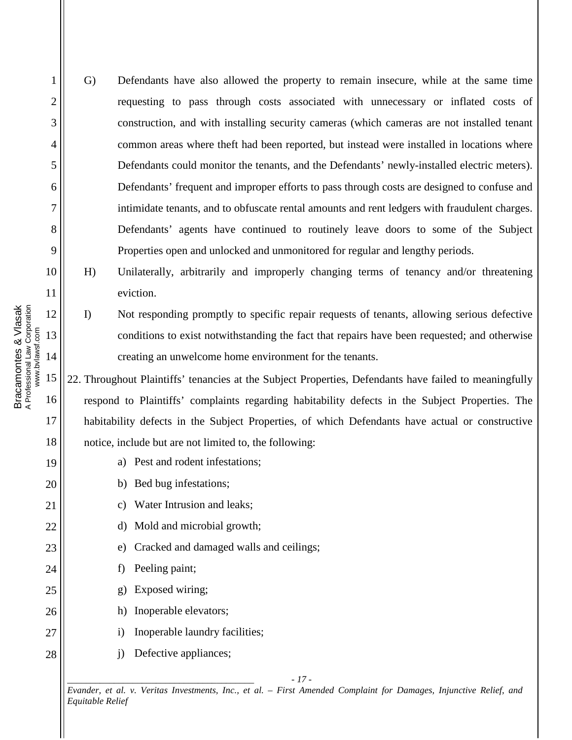G) Defendants have also allowed the property to remain insecure, while at the same time requesting to pass through costs associated with unnecessary or inflated costs of construction, and with installing security cameras (which cameras are not installed tenant common areas where theft had been reported, but instead were installed in locations where Defendants could monitor the tenants, and the Defendants' newly-installed electric meters). Defendants' frequent and improper efforts to pass through costs are designed to confuse and intimidate tenants, and to obfuscate rental amounts and rent ledgers with fraudulent charges. Defendants' agents have continued to routinely leave doors to some of the Subject Properties open and unlocked and unmonitored for regular and lengthy periods.

H) Unilaterally, arbitrarily and improperly changing terms of tenancy and/or threatening eviction.

## I) Not responding promptly to specific repair requests of tenants, allowing serious defective conditions to exist notwithstanding the fact that repairs have been requested; and otherwise creating an unwelcome home environment for the tenants.

15 16 17 18 22. Throughout Plaintiffs' tenancies at the Subject Properties, Defendants have failed to meaningfully respond to Plaintiffs' complaints regarding habitability defects in the Subject Properties. The habitability defects in the Subject Properties, of which Defendants have actual or constructive notice, include but are not limited to, the following:

- a) Pest and rodent infestations;
- b) Bed bug infestations;
- c) Water Intrusion and leaks;
- d) Mold and microbial growth;
- e) Cracked and damaged walls and ceilings;
- f) Peeling paint;
	- g) Exposed wiring;
	- h) Inoperable elevators;
	- i) Inoperable laundry facilities;
	- j) Defective appliances;

*\_\_\_\_\_\_\_\_\_\_\_\_\_\_\_\_\_\_\_\_\_\_\_\_\_\_\_\_\_\_\_\_\_\_\_\_\_\_\_\_ - 17 - Evander, et al. v. Veritas Investments, Inc., et al. – First Amended Complaint for Damages, Injunctive Relief, and Equitable Relief* 

1

2

3

4

5

6

7

8

9

10

11

12

13

14

19

20

21

22

23

24

25

26

27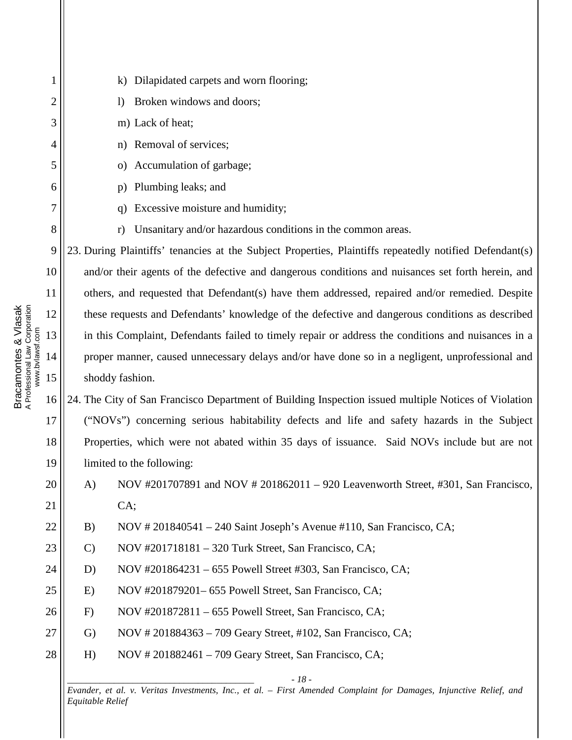| $\bf{l}$       | Dilapidated carpets and worn flooring;<br>$\bf{k}$                                                      |  |
|----------------|---------------------------------------------------------------------------------------------------------|--|
| $\overline{c}$ | Broken windows and doors;<br>$\left( \right)$                                                           |  |
| 3              | m) Lack of heat;                                                                                        |  |
| 4              | Removal of services;<br>n)                                                                              |  |
| 5              | Accumulation of garbage;<br>$\Omega$                                                                    |  |
| 6              | Plumbing leaks; and<br>p)                                                                               |  |
| 7              | Excessive moisture and humidity;<br>q)                                                                  |  |
| 8              | Unsanitary and/or hazardous conditions in the common areas.<br>r)                                       |  |
| 9              | 23. During Plaintiffs' tenancies at the Subject Properties, Plaintiffs repeatedly notified Defendant(s) |  |
| 10             | and/or their agents of the defective and dangerous conditions and nuisances set forth herein, and       |  |
| 11             | others, and requested that Defendant(s) have them addressed, repaired and/or remedied. Despite          |  |
| 12             | these requests and Defendants' knowledge of the defective and dangerous conditions as described         |  |
| 13             | in this Complaint, Defendants failed to timely repair or address the conditions and nuisances in a      |  |
| 14             | proper manner, caused unnecessary delays and/or have done so in a negligent, unprofessional and         |  |
| 15             | shoddy fashion.                                                                                         |  |
| 16             | 24. The City of San Francisco Department of Building Inspection issued multiple Notices of Violation    |  |
| 17             | ("NOVs") concerning serious habitability defects and life and safety hazards in the Subject             |  |
| 18             | Properties, which were not abated within 35 days of issuance. Said NOVs include but are not             |  |
| 19             | limited to the following:                                                                               |  |
| 20             | A)<br>NOV #201707891 and NOV # 201862011 – 920 Leavenworth Street, #301, San Francisco,                 |  |
| 21             | CA;                                                                                                     |  |
| 22             | NOV # 201840541 – 240 Saint Joseph's Avenue #110, San Francisco, CA;<br>B)                              |  |
| 23             | $\mathcal{C}$<br>NOV #201718181 – 320 Turk Street, San Francisco, CA;                                   |  |
| 24             | NOV #201864231 – 655 Powell Street #303, San Francisco, CA;<br>D)                                       |  |
| 25             | NOV #201879201–655 Powell Street, San Francisco, CA;<br>E)                                              |  |
| 26             | NOV #201872811 – 655 Powell Street, San Francisco, CA;<br>F)                                            |  |
| 27             | NOV # 201884363 – 709 Geary Street, #102, San Francisco, CA;<br>G)                                      |  |
| $28\,$         | H)<br>NOV # 201882461 – 709 Geary Street, San Francisco, CA;                                            |  |
|                | - $18$ -                                                                                                |  |

*Evander, et al. v. Veritas Investments, Inc., et al. – First Amended Complaint for Damages, Injunctive Relief, and Equitable Relief*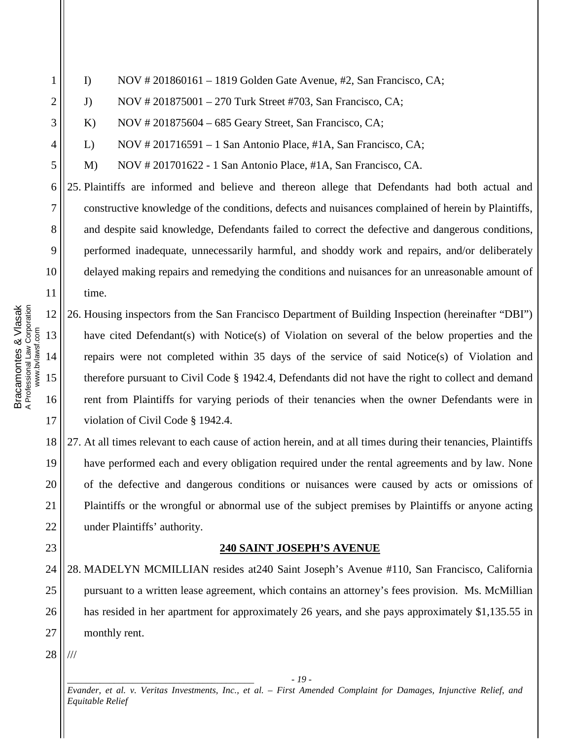- 1 2 3 4 5 6 7 8 9 10 11 12 13 14 15 I) NOV # 201860161 – 1819 Golden Gate Avenue, #2, San Francisco, CA; J) NOV # 201875001 – 270 Turk Street #703, San Francisco, CA; K) NOV # 201875604 – 685 Geary Street, San Francisco, CA; L) NOV # 201716591 – 1 San Antonio Place, #1A, San Francisco, CA; M) NOV # 201701622 - 1 San Antonio Place, #1A, San Francisco, CA. 25. Plaintiffs are informed and believe and thereon allege that Defendants had both actual and constructive knowledge of the conditions, defects and nuisances complained of herein by Plaintiffs, and despite said knowledge, Defendants failed to correct the defective and dangerous conditions, performed inadequate, unnecessarily harmful, and shoddy work and repairs, and/or deliberately delayed making repairs and remedying the conditions and nuisances for an unreasonable amount of time. 26. Housing inspectors from the San Francisco Department of Building Inspection (hereinafter "DBI") have cited Defendant(s) with Notice(s) of Violation on several of the below properties and the repairs were not completed within 35 days of the service of said Notice(s) of Violation and therefore pursuant to Civil Code § 1942.4, Defendants did not have the right to collect and demand
	- rent from Plaintiffs for varying periods of their tenancies when the owner Defendants were in violation of Civil Code § 1942.4.

18 19 20 21 22 27. At all times relevant to each cause of action herein, and at all times during their tenancies, Plaintiffs have performed each and every obligation required under the rental agreements and by law. None of the defective and dangerous conditions or nuisances were caused by acts or omissions of Plaintiffs or the wrongful or abnormal use of the subject premises by Plaintiffs or anyone acting under Plaintiffs' authority.

#### **240 SAINT JOSEPH'S AVENUE**

28. MADELYN MCMILLIAN resides at240 Saint Joseph's Avenue #110, San Francisco, California pursuant to a written lease agreement, which contains an attorney's fees provision. Ms. McMillian has resided in her apartment for approximately 26 years, and she pays approximately \$1,135.55 in monthly rent.

28 ///

> *\_\_\_\_\_\_\_\_\_\_\_\_\_\_\_\_\_\_\_\_\_\_\_\_\_\_\_\_\_\_\_\_\_\_\_\_\_\_\_\_ - 19 - Evander, et al. v. Veritas Investments, Inc., et al. – First Amended Complaint for Damages, Injunctive Relief, and Equitable Relief*

Bracamontes & Vlasak<br>A Professional Law Corporation<br>www.bvlawsf.com Bracamontes & Vlasak A Professional Law Corporation www.bvlawsf.com

16

17

23

24

25

26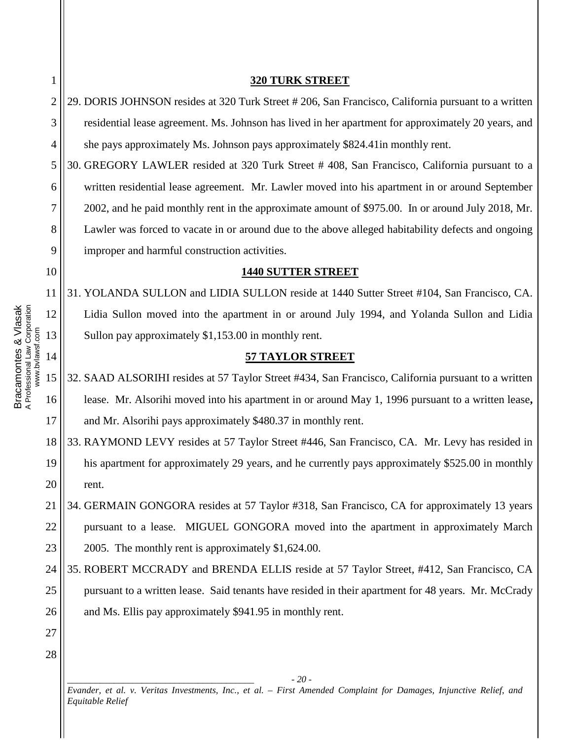|                                                                           | 1              | 320 TURK STREET                                                                                                                        |
|---------------------------------------------------------------------------|----------------|----------------------------------------------------------------------------------------------------------------------------------------|
|                                                                           | $\mathfrak{2}$ | 29. DORIS JOHNSON resides at 320 Turk Street # 206, San Francisco, California pursuant to a written                                    |
|                                                                           | 3              | residential lease agreement. Ms. Johnson has lived in her apartment for approximately 20 years, and                                    |
|                                                                           | 4              | she pays approximately Ms. Johnson pays approximately \$824.41in monthly rent.                                                         |
|                                                                           | 5              | 30. GREGORY LAWLER resided at 320 Turk Street #408, San Francisco, California pursuant to a                                            |
|                                                                           | 6              | written residential lease agreement. Mr. Lawler moved into his apartment in or around September                                        |
|                                                                           | $\tau$         | 2002, and he paid monthly rent in the approximate amount of \$975.00. In or around July 2018, Mr.                                      |
|                                                                           | 8              | Lawler was forced to vacate in or around due to the above alleged habitability defects and ongoing                                     |
|                                                                           | 9              | improper and harmful construction activities.                                                                                          |
|                                                                           | 10             | <b>1440 SUTTER STREET</b>                                                                                                              |
|                                                                           | 11             | 31. YOLANDA SULLON and LIDIA SULLON reside at 1440 Sutter Street #104, San Francisco, CA.                                              |
|                                                                           | 12             | Lidia Sullon moved into the apartment in or around July 1994, and Yolanda Sullon and Lidia                                             |
|                                                                           | 13             | Sullon pay approximately \$1,153.00 in monthly rent.                                                                                   |
|                                                                           | 14             | <b>57 TAYLOR STREET</b>                                                                                                                |
| Bracamontes & Vlasak<br>A Professional Law Corporation<br>www.bvlawsf.com | 15             | 32. SAAD ALSORIHI resides at 57 Taylor Street #434, San Francisco, California pursuant to a written                                    |
|                                                                           | 16             | lease. Mr. Alsorihi moved into his apartment in or around May 1, 1996 pursuant to a written lease,                                     |
|                                                                           | 17             | and Mr. Alsorihi pays approximately \$480.37 in monthly rent.                                                                          |
|                                                                           | 18             | 33. RAYMOND LEVY resides at 57 Taylor Street #446, San Francisco, CA. Mr. Levy has resided in                                          |
|                                                                           | 19             | his apartment for approximately 29 years, and he currently pays approximately \$525.00 in monthly                                      |
|                                                                           | 20             | rent.                                                                                                                                  |
|                                                                           | 21             | 34. GERMAIN GONGORA resides at 57 Taylor #318, San Francisco, CA for approximately 13 years                                            |
|                                                                           | 22             | pursuant to a lease. MIGUEL GONGORA moved into the apartment in approximately March                                                    |
|                                                                           | 23             | 2005. The monthly rent is approximately \$1,624.00.                                                                                    |
|                                                                           | 24             | 35. ROBERT MCCRADY and BRENDA ELLIS reside at 57 Taylor Street, #412, San Francisco, CA                                                |
|                                                                           | 25             | pursuant to a written lease. Said tenants have resided in their apartment for 48 years. Mr. McCrady                                    |
|                                                                           | 26             | and Ms. Ellis pay approximately \$941.95 in monthly rent.                                                                              |
|                                                                           | 27             |                                                                                                                                        |
|                                                                           | 28             |                                                                                                                                        |
|                                                                           |                | $-20-$                                                                                                                                 |
|                                                                           |                | Evander, et al. v. Veritas Investments, Inc., et al. - First Amended Complaint for Damages, Injunctive Relief, and<br>Equitable Relief |
|                                                                           |                |                                                                                                                                        |
|                                                                           |                |                                                                                                                                        |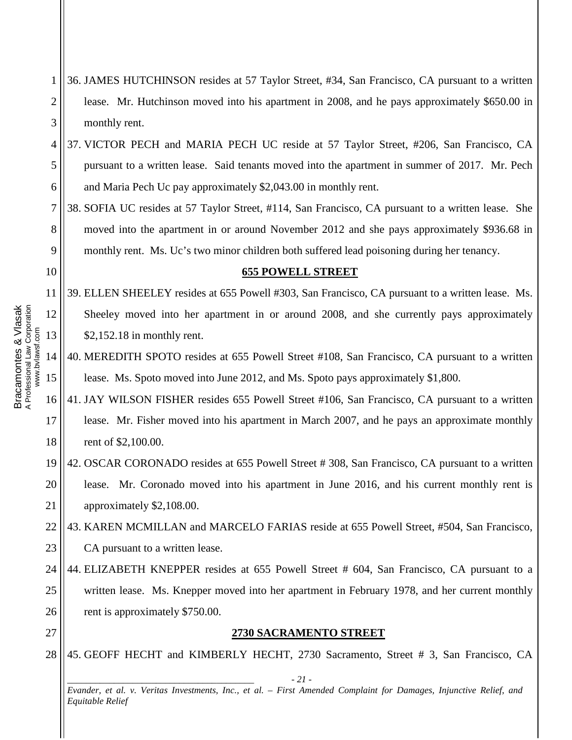| 1              | 36. JAMES HUTCHINSON resides at 57 Taylor Street, #34, San Francisco, CA pursuant to a written                                         |
|----------------|----------------------------------------------------------------------------------------------------------------------------------------|
| $\mathbf{2}$   | lease. Mr. Hutchinson moved into his apartment in 2008, and he pays approximately \$650.00 in                                          |
| 3              | monthly rent.                                                                                                                          |
| $\overline{4}$ | 37. VICTOR PECH and MARIA PECH UC reside at 57 Taylor Street, #206, San Francisco, CA                                                  |
| 5              | pursuant to a written lease. Said tenants moved into the apartment in summer of 2017. Mr. Pech                                         |
| 6              | and Maria Pech Uc pay approximately \$2,043.00 in monthly rent.                                                                        |
| $\overline{7}$ | 38. SOFIA UC resides at 57 Taylor Street, #114, San Francisco, CA pursuant to a written lease. She                                     |
| 8              | moved into the apartment in or around November 2012 and she pays approximately \$936.68 in                                             |
| 9              | monthly rent. Ms. Uc's two minor children both suffered lead poisoning during her tenancy.                                             |
| 10             | <b>655 POWELL STREET</b>                                                                                                               |
| 11             | 39. ELLEN SHEELEY resides at 655 Powell #303, San Francisco, CA pursuant to a written lease. Ms.                                       |
| 12             | Sheeley moved into her apartment in or around 2008, and she currently pays approximately                                               |
| 13             | $$2,152.18$ in monthly rent.                                                                                                           |
| 14             | 40. MEREDITH SPOTO resides at 655 Powell Street #108, San Francisco, CA pursuant to a written                                          |
| 15             | lease. Ms. Spoto moved into June 2012, and Ms. Spoto pays approximately \$1,800.                                                       |
| 16             | 41. JAY WILSON FISHER resides 655 Powell Street #106, San Francisco, CA pursuant to a written                                          |
| 17             | lease. Mr. Fisher moved into his apartment in March 2007, and he pays an approximate monthly                                           |
| 18             | rent of \$2,100.00.                                                                                                                    |
| 19             | 42. OSCAR CORONADO resides at 655 Powell Street #308, San Francisco, CA pursuant to a written                                          |
| 20             | lease. Mr. Coronado moved into his apartment in June 2016, and his current monthly rent is                                             |
| 21             | approximately \$2,108.00.                                                                                                              |
| 22             | 43. KAREN MCMILLAN and MARCELO FARIAS reside at 655 Powell Street, #504, San Francisco,                                                |
| 23             | CA pursuant to a written lease.                                                                                                        |
| 24             | 44. ELIZABETH KNEPPER resides at 655 Powell Street # 604, San Francisco, CA pursuant to a                                              |
| 25             | written lease. Ms. Knepper moved into her apartment in February 1978, and her current monthly                                          |
| 26             | rent is approximately \$750.00.                                                                                                        |
| 27             | <b>2730 SACRAMENTO STREET</b>                                                                                                          |
| 28             | 45. GEOFF HECHT and KIMBERLY HECHT, 2730 Sacramento, Street # 3, San Francisco, CA                                                     |
|                | $-21-$                                                                                                                                 |
|                | Evander, et al. v. Veritas Investments, Inc., et al. - First Amended Complaint for Damages, Injunctive Relief, and<br>Equitable Relief |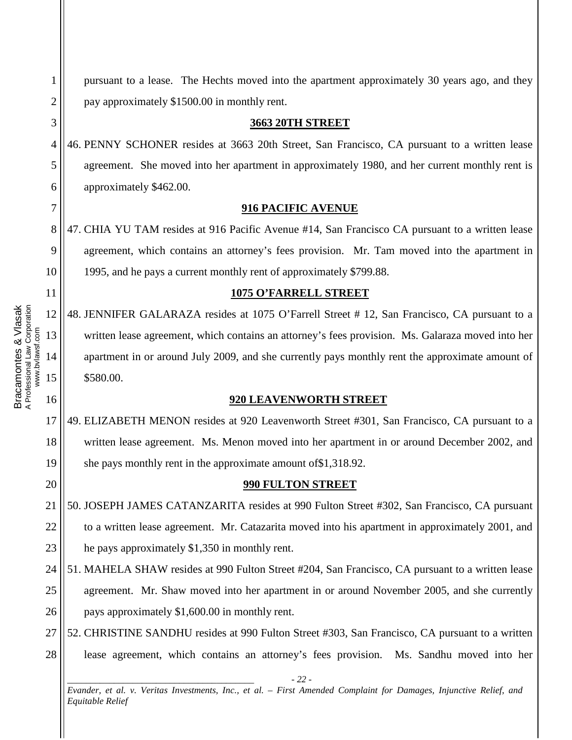*\_\_\_\_\_\_\_\_\_\_\_\_\_\_\_\_\_\_\_\_\_\_\_\_\_\_\_\_\_\_\_\_\_\_\_\_\_\_\_\_ - 22 - Evander, et al. v. Veritas Investments, Inc., et al. – First Amended Complaint for Damages, Injunctive Relief, and Equitable Relief*  1 2 3 4 5 6 7 8 9 10 11 12 13 14 15 16 17 18 19 20 21 22 23 24 25 26 27 28 pursuant to a lease. The Hechts moved into the apartment approximately 30 years ago, and they pay approximately \$1500.00 in monthly rent. **3663 20TH STREET** 46. PENNY SCHONER resides at 3663 20th Street, San Francisco, CA pursuant to a written lease agreement. She moved into her apartment in approximately 1980, and her current monthly rent is approximately \$462.00. **916 PACIFIC AVENUE** 47. CHIA YU TAM resides at 916 Pacific Avenue #14, San Francisco CA pursuant to a written lease agreement, which contains an attorney's fees provision. Mr. Tam moved into the apartment in 1995, and he pays a current monthly rent of approximately \$799.88. **1075 O'FARRELL STREET** 48. JENNIFER GALARAZA resides at 1075 O'Farrell Street # 12, San Francisco, CA pursuant to a written lease agreement, which contains an attorney's fees provision. Ms. Galaraza moved into her apartment in or around July 2009, and she currently pays monthly rent the approximate amount of \$580.00. **920 LEAVENWORTH STREET** 49. ELIZABETH MENON resides at 920 Leavenworth Street #301, San Francisco, CA pursuant to a written lease agreement. Ms. Menon moved into her apartment in or around December 2002, and she pays monthly rent in the approximate amount of\$1,318.92. **990 FULTON STREET** 50. JOSEPH JAMES CATANZARITA resides at 990 Fulton Street #302, San Francisco, CA pursuant to a written lease agreement. Mr. Catazarita moved into his apartment in approximately 2001, and he pays approximately \$1,350 in monthly rent. 51. MAHELA SHAW resides at 990 Fulton Street #204, San Francisco, CA pursuant to a written lease agreement. Mr. Shaw moved into her apartment in or around November 2005, and she currently pays approximately \$1,600.00 in monthly rent. 52. CHRISTINE SANDHU resides at 990 Fulton Street #303, San Francisco, CA pursuant to a written lease agreement, which contains an attorney's fees provision. Ms. Sandhu moved into her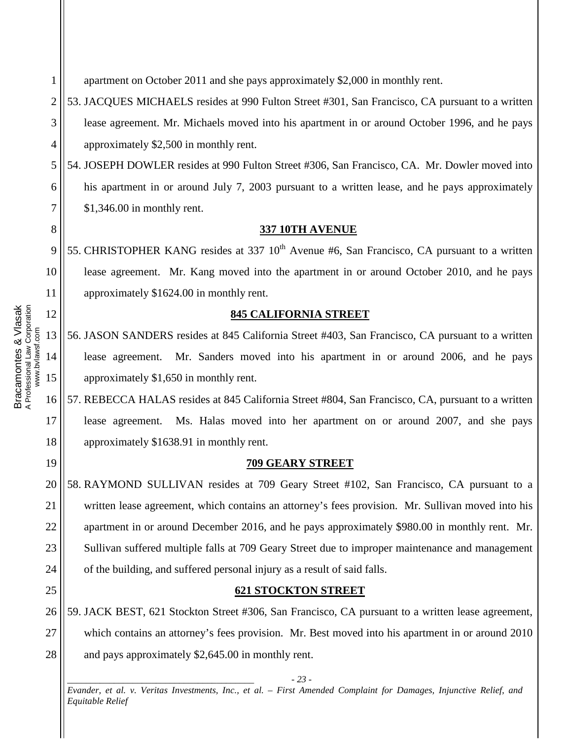apartment on October 2011 and she pays approximately \$2,000 in monthly rent.

2 3 4 53. JACQUES MICHAELS resides at 990 Fulton Street #301, San Francisco, CA pursuant to a written lease agreement. Mr. Michaels moved into his apartment in or around October 1996, and he pays approximately \$2,500 in monthly rent.

54. JOSEPH DOWLER resides at 990 Fulton Street #306, San Francisco, CA. Mr. Dowler moved into his apartment in or around July 7, 2003 pursuant to a written lease, and he pays approximately \$1,346.00 in monthly rent.

### **337 10TH AVENUE**

55. CHRISTOPHER KANG resides at 337  $10^{th}$  Avenue #6, San Francisco, CA pursuant to a written lease agreement. Mr. Kang moved into the apartment in or around October 2010, and he pays approximately \$1624.00 in monthly rent.

### **845 CALIFORNIA STREET**

56. JASON SANDERS resides at 845 California Street #403, San Francisco, CA pursuant to a written lease agreement. Mr. Sanders moved into his apartment in or around 2006, and he pays approximately \$1,650 in monthly rent.

57. REBECCA HALAS resides at 845 California Street #804, San Francisco, CA, pursuant to a written lease agreement. Ms. Halas moved into her apartment on or around 2007, and she pays approximately \$1638.91 in monthly rent.

**709 GEARY STREET**

### 19

1

5

6

7

8

9

10

11

12

13

14

15

16

17

18

20

21

22

23

24

25

58. RAYMOND SULLIVAN resides at 709 Geary Street #102, San Francisco, CA pursuant to a written lease agreement, which contains an attorney's fees provision. Mr. Sullivan moved into his apartment in or around December 2016, and he pays approximately \$980.00 in monthly rent. Mr. Sullivan suffered multiple falls at 709 Geary Street due to improper maintenance and management of the building, and suffered personal injury as a result of said falls.

### **621 STOCKTON STREET**

26 27 28 59. JACK BEST, 621 Stockton Street #306, San Francisco, CA pursuant to a written lease agreement, which contains an attorney's fees provision. Mr. Best moved into his apartment in or around 2010 and pays approximately \$2,645.00 in monthly rent.

*\_\_\_\_\_\_\_\_\_\_\_\_\_\_\_\_\_\_\_\_\_\_\_\_\_\_\_\_\_\_\_\_\_\_\_\_\_\_\_\_ - 23 - Evander, et al. v. Veritas Investments, Inc., et al. – First Amended Complaint for Damages, Injunctive Relief, and Equitable Relief*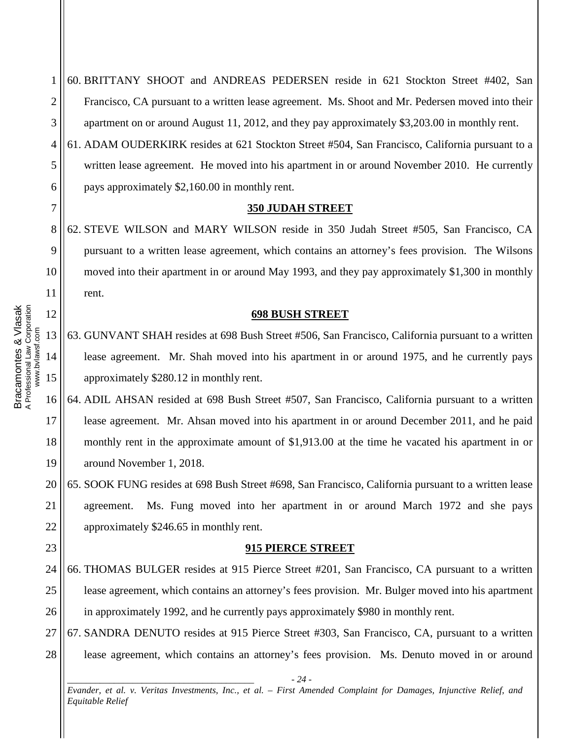1 2 3 60. BRITTANY SHOOT and ANDREAS PEDERSEN reside in 621 Stockton Street #402, San Francisco, CA pursuant to a written lease agreement. Ms. Shoot and Mr. Pedersen moved into their apartment on or around August 11, 2012, and they pay approximately \$3,203.00 in monthly rent.

61. ADAM OUDERKIRK resides at 621 Stockton Street #504, San Francisco, California pursuant to a written lease agreement. He moved into his apartment in or around November 2010. He currently pays approximately \$2,160.00 in monthly rent.

#### **350 JUDAH STREET**

62. STEVE WILSON and MARY WILSON reside in 350 Judah Street #505, San Francisco, CA pursuant to a written lease agreement, which contains an attorney's fees provision. The Wilsons moved into their apartment in or around May 1993, and they pay approximately \$1,300 in monthly rent.

#### **698 BUSH STREET**

63. GUNVANT SHAH resides at 698 Bush Street #506, San Francisco, California pursuant to a written lease agreement. Mr. Shah moved into his apartment in or around 1975, and he currently pays approximately \$280.12 in monthly rent.

64. ADIL AHSAN resided at 698 Bush Street #507, San Francisco, California pursuant to a written lease agreement. Mr. Ahsan moved into his apartment in or around December 2011, and he paid monthly rent in the approximate amount of \$1,913.00 at the time he vacated his apartment in or around November 1, 2018.

20 21 22 65. SOOK FUNG resides at 698 Bush Street #698, San Francisco, California pursuant to a written lease agreement. Ms. Fung moved into her apartment in or around March 1972 and she pays approximately \$246.65 in monthly rent.

#### **915 PIERCE STREET**

24 25 26 66. THOMAS BULGER resides at 915 Pierce Street #201, San Francisco, CA pursuant to a written lease agreement, which contains an attorney's fees provision. Mr. Bulger moved into his apartment in approximately 1992, and he currently pays approximately \$980 in monthly rent.

27 28 67. SANDRA DENUTO resides at 915 Pierce Street #303, San Francisco, CA, pursuant to a written lease agreement, which contains an attorney's fees provision. Ms. Denuto moved in or around

*\_\_\_\_\_\_\_\_\_\_\_\_\_\_\_\_\_\_\_\_\_\_\_\_\_\_\_\_\_\_\_\_\_\_\_\_\_\_\_\_ - 24 - Evander, et al. v. Veritas Investments, Inc., et al. – First Amended Complaint for Damages, Injunctive Relief, and Equitable Relief* 

4

5

6

7

8

9

10

11

12

13

14

15

16

17

18

19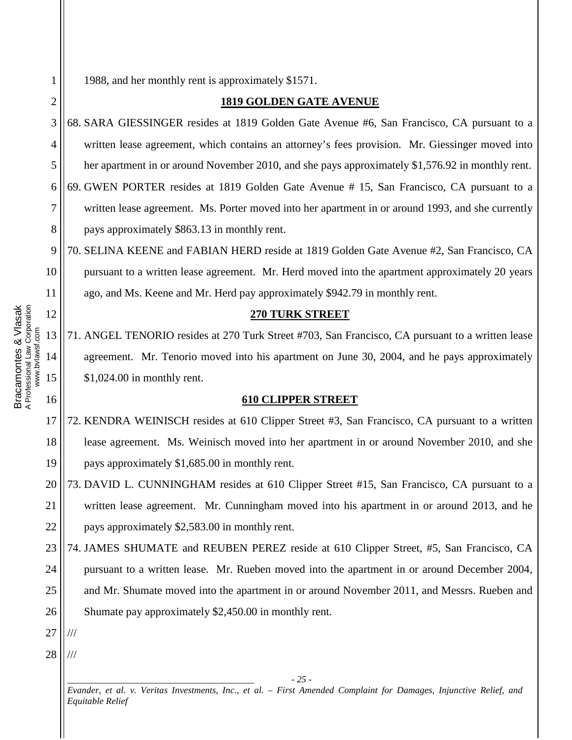1988, and her monthly rent is approximately \$1571.

### **1819 GOLDEN GATE AVENUE**

68. SARA GIESSINGER resides at 1819 Golden Gate Avenue #6, San Francisco, CA pursuant to a written lease agreement, which contains an attorney's fees provision. Mr. Giessinger moved into her apartment in or around November 2010, and she pays approximately \$1,576.92 in monthly rent. 69. GWEN PORTER resides at 1819 Golden Gate Avenue # 15, San Francisco, CA pursuant to a written lease agreement. Ms. Porter moved into her apartment in or around 1993, and she currently pays approximately \$863.13 in monthly rent.

70. SELINA KEENE and FABIAN HERD reside at 1819 Golden Gate Avenue #2, San Francisco, CA pursuant to a written lease agreement. Mr. Herd moved into the apartment approximately 20 years ago, and Ms. Keene and Mr. Herd pay approximately \$942.79 in monthly rent.

#### **270 TURK STREET**

71. ANGEL TENORIO resides at 270 Turk Street #703, San Francisco, CA pursuant to a written lease agreement. Mr. Tenorio moved into his apartment on June 30, 2004, and he pays approximately \$1,024.00 in monthly rent.

#### **610 CLIPPER STREET**

72. KENDRA WEINISCH resides at 610 Clipper Street #3, San Francisco, CA pursuant to a written lease agreement. Ms. Weinisch moved into her apartment in or around November 2010, and she pays approximately \$1,685.00 in monthly rent.

20 21 22 73. DAVID L. CUNNINGHAM resides at 610 Clipper Street #15, San Francisco, CA pursuant to a written lease agreement. Mr. Cunningham moved into his apartment in or around 2013, and he pays approximately \$2,583.00 in monthly rent.

23 24 25 26 74. JAMES SHUMATE and REUBEN PEREZ reside at 610 Clipper Street, #5, San Francisco, CA pursuant to a written lease. Mr. Rueben moved into the apartment in or around December 2004, and Mr. Shumate moved into the apartment in or around November 2011, and Messrs. Rueben and Shumate pay approximately \$2,450.00 in monthly rent.

27 ///

28 ///

> *\_\_\_\_\_\_\_\_\_\_\_\_\_\_\_\_\_\_\_\_\_\_\_\_\_\_\_\_\_\_\_\_\_\_\_\_\_\_\_\_ - 25 - Evander, et al. v. Veritas Investments, Inc., et al. – First Amended Complaint for Damages, Injunctive Relief, and Equitable Relief*

1

2

3

4

5

6

7

8

9

10

11

12

13

14

15

16

17

18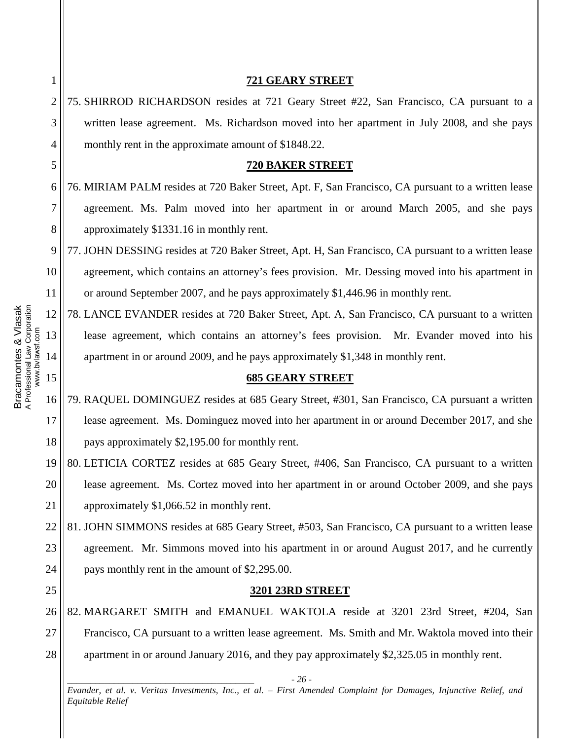| $\mathbf{1}$   | <b>721 GEARY STREET</b>                                                                                                                |
|----------------|----------------------------------------------------------------------------------------------------------------------------------------|
| $\overline{2}$ | 75. SHIRROD RICHARDSON resides at 721 Geary Street #22, San Francisco, CA pursuant to a                                                |
| 3              | written lease agreement. Ms. Richardson moved into her apartment in July 2008, and she pays                                            |
| 4              | monthly rent in the approximate amount of \$1848.22.                                                                                   |
| 5              | <b>720 BAKER STREET</b>                                                                                                                |
| 6              | 76. MIRIAM PALM resides at 720 Baker Street, Apt. F, San Francisco, CA pursuant to a written lease                                     |
| 7              | agreement. Ms. Palm moved into her apartment in or around March 2005, and she pays                                                     |
| 8              | approximately \$1331.16 in monthly rent.                                                                                               |
| 9              | 77. JOHN DESSING resides at 720 Baker Street, Apt. H, San Francisco, CA pursuant to a written lease                                    |
| 10             | agreement, which contains an attorney's fees provision. Mr. Dessing moved into his apartment in                                        |
| 11             | or around September 2007, and he pays approximately \$1,446.96 in monthly rent.                                                        |
| 12             | 78. LANCE EVANDER resides at 720 Baker Street, Apt. A, San Francisco, CA pursuant to a written                                         |
| 13             | lease agreement, which contains an attorney's fees provision. Mr. Evander moved into his                                               |
| 14             | apartment in or around 2009, and he pays approximately \$1,348 in monthly rent.                                                        |
| 15             | <b>685 GEARY STREET</b>                                                                                                                |
| 16             | 79. RAQUEL DOMINGUEZ resides at 685 Geary Street, #301, San Francisco, CA pursuant a written                                           |
| 17             | lease agreement. Ms. Dominguez moved into her apartment in or around December 2017, and she                                            |
| 18             | pays approximately \$2,195.00 for monthly rent.                                                                                        |
| 19             | 80. LETICIA CORTEZ resides at 685 Geary Street, #406, San Francisco, CA pursuant to a written                                          |
| 20             | lease agreement. Ms. Cortez moved into her apartment in or around October 2009, and she pays                                           |
| 21             | approximately \$1,066.52 in monthly rent.                                                                                              |
| 22             | 81. JOHN SIMMONS resides at 685 Geary Street, #503, San Francisco, CA pursuant to a written lease                                      |
| 23             | agreement. Mr. Simmons moved into his apartment in or around August 2017, and he currently                                             |
| 24             | pays monthly rent in the amount of \$2,295.00.                                                                                         |
| 25             | <b>3201 23RD STREET</b>                                                                                                                |
| 26             | 82. MARGARET SMITH and EMANUEL WAKTOLA reside at 3201 23rd Street, #204, San                                                           |
| 27             | Francisco, CA pursuant to a written lease agreement. Ms. Smith and Mr. Waktola moved into their                                        |
| 28             | apartment in or around January 2016, and they pay approximately \$2,325.05 in monthly rent.                                            |
|                | $-26-$                                                                                                                                 |
|                | Evander, et al. v. Veritas Investments, Inc., et al. - First Amended Complaint for Damages, Injunctive Relief, and<br>Equitable Relief |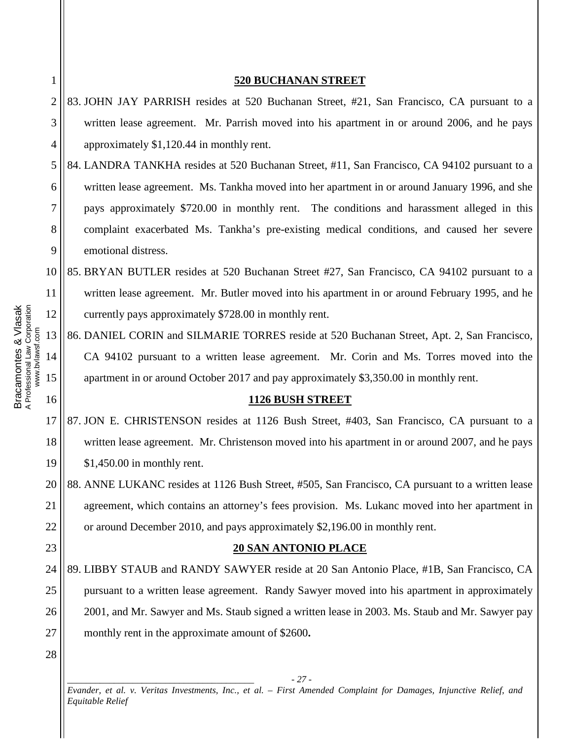|                 | $\mathbf{1}$   | <b>520 BUCHANAN STREET</b>                                                                                                             |
|-----------------|----------------|----------------------------------------------------------------------------------------------------------------------------------------|
|                 | $\overline{c}$ | 83. JOHN JAY PARRISH resides at 520 Buchanan Street, #21, San Francisco, CA pursuant to a                                              |
|                 | 3              | written lease agreement. Mr. Parrish moved into his apartment in or around 2006, and he pays                                           |
|                 | 4              | approximately \$1,120.44 in monthly rent.                                                                                              |
|                 | 5              | 84. LANDRA TANKHA resides at 520 Buchanan Street, #11, San Francisco, CA 94102 pursuant to a                                           |
|                 | 6              | written lease agreement. Ms. Tankha moved into her apartment in or around January 1996, and she                                        |
|                 | 7              | pays approximately \$720.00 in monthly rent. The conditions and harassment alleged in this                                             |
|                 | 8              | complaint exacerbated Ms. Tankha's pre-existing medical conditions, and caused her severe                                              |
|                 | 9              | emotional distress.                                                                                                                    |
|                 | 10             | 85. BRYAN BUTLER resides at 520 Buchanan Street #27, San Francisco, CA 94102 pursuant to a                                             |
|                 | 11             | written lease agreement. Mr. Butler moved into his apartment in or around February 1995, and he                                        |
|                 | 12             | currently pays approximately \$728.00 in monthly rent.                                                                                 |
|                 | 13             | 86. DANIEL CORIN and SILMARIE TORRES reside at 520 Buchanan Street, Apt. 2, San Francisco,                                             |
| www.bvlawsf.com | 14             | CA 94102 pursuant to a written lease agreement. Mr. Corin and Ms. Torres moved into the                                                |
|                 | 15             | apartment in or around October 2017 and pay approximately \$3,350.00 in monthly rent.                                                  |
|                 | 16             | <b>1126 BUSH STREET</b>                                                                                                                |
|                 | 17             | 87. JON E. CHRISTENSON resides at 1126 Bush Street, #403, San Francisco, CA pursuant to a                                              |
|                 | 18             | written lease agreement. Mr. Christenson moved into his apartment in or around 2007, and he pays                                       |
|                 | 19             | $$1,450.00$ in monthly rent.                                                                                                           |
|                 | 20             | 88. ANNE LUKANC resides at 1126 Bush Street, #505, San Francisco, CA pursuant to a written lease                                       |
|                 | 21             | agreement, which contains an attorney's fees provision. Ms. Lukanc moved into her apartment in                                         |
|                 | 22             | or around December 2010, and pays approximately \$2,196.00 in monthly rent.                                                            |
|                 | 23             | <b>20 SAN ANTONIO PLACE</b>                                                                                                            |
|                 | 24             | 89. LIBBY STAUB and RANDY SAWYER reside at 20 San Antonio Place, #1B, San Francisco, CA                                                |
|                 | 25             | pursuant to a written lease agreement. Randy Sawyer moved into his apartment in approximately                                          |
|                 | 26             | 2001, and Mr. Sawyer and Ms. Staub signed a written lease in 2003. Ms. Staub and Mr. Sawyer pay                                        |
|                 | 27             | monthly rent in the approximate amount of \$2600.                                                                                      |
|                 | 28             |                                                                                                                                        |
|                 |                | $-27-$                                                                                                                                 |
|                 |                | Evander, et al. v. Veritas Investments, Inc., et al. - First Amended Complaint for Damages, Injunctive Relief, and<br>Equitable Relief |
|                 |                |                                                                                                                                        |
|                 |                |                                                                                                                                        |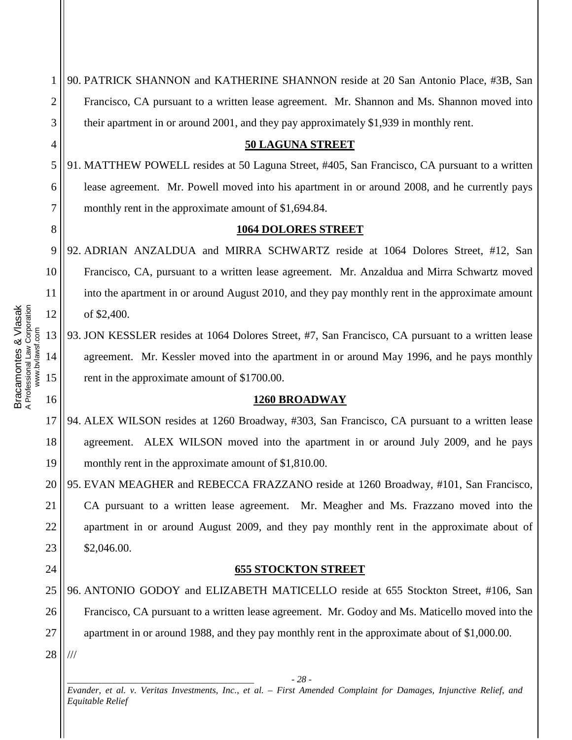| 1  | 90. PATRICK SHANNON and KATHERINE SHANNON reside at 20 San Antonio Place, #3B, San                                 |
|----|--------------------------------------------------------------------------------------------------------------------|
| 2  | Francisco, CA pursuant to a written lease agreement. Mr. Shannon and Ms. Shannon moved into                        |
| 3  | their apartment in or around 2001, and they pay approximately \$1,939 in monthly rent.                             |
| 4  | <b>50 LAGUNA STREET</b>                                                                                            |
| 5  | 91. MATTHEW POWELL resides at 50 Laguna Street, #405, San Francisco, CA pursuant to a written                      |
| 6  | lease agreement. Mr. Powell moved into his apartment in or around 2008, and he currently pays                      |
| 7  | monthly rent in the approximate amount of \$1,694.84.                                                              |
| 8  | <b>1064 DOLORES STREET</b>                                                                                         |
| 9  | 92. ADRIAN ANZALDUA and MIRRA SCHWARTZ reside at 1064 Dolores Street, #12, San                                     |
| 10 | Francisco, CA, pursuant to a written lease agreement. Mr. Anzaldua and Mirra Schwartz moved                        |
| 11 | into the apartment in or around August 2010, and they pay monthly rent in the approximate amount                   |
| 12 | of \$2,400.                                                                                                        |
| 13 | 93. JON KESSLER resides at 1064 Dolores Street, #7, San Francisco, CA pursuant to a written lease                  |
| 14 | agreement. Mr. Kessler moved into the apartment in or around May 1996, and he pays monthly                         |
| 15 | rent in the approximate amount of \$1700.00.                                                                       |
| 16 | 1260 BROADWAY                                                                                                      |
| 17 | 94. ALEX WILSON resides at 1260 Broadway, #303, San Francisco, CA pursuant to a written lease                      |
| 18 | agreement. ALEX WILSON moved into the apartment in or around July 2009, and he pays                                |
| 19 | monthly rent in the approximate amount of \$1,810.00.                                                              |
| 20 | 95. EVAN MEAGHER and REBECCA FRAZZANO reside at 1260 Broadway, #101, San Francisco,                                |
| 21 | CA pursuant to a written lease agreement. Mr. Meagher and Ms. Frazzano moved into the                              |
| 22 | apartment in or around August 2009, and they pay monthly rent in the approximate about of                          |
| 23 | \$2,046.00.                                                                                                        |
| 24 | <b>655 STOCKTON STREET</b>                                                                                         |
| 25 | 96. ANTONIO GODOY and ELIZABETH MATICELLO reside at 655 Stockton Street, #106, San                                 |
| 26 | Francisco, CA pursuant to a written lease agreement. Mr. Godoy and Ms. Maticello moved into the                    |
| 27 | apartment in or around 1988, and they pay monthly rent in the approximate about of \$1,000.00.                     |
| 28 |                                                                                                                    |
|    | $-28-$                                                                                                             |
|    | Evander, et al. v. Veritas Investments, Inc., et al. - First Amended Complaint for Damages, Injunctive Relief, and |

Bracamontes & Vlasak<br>A Professional Law Corporation<br>www.bvlawsf.com Bracamontes & Vlasak A Professional Law Corporation www.bvlawsf.com

*Equitable Relief*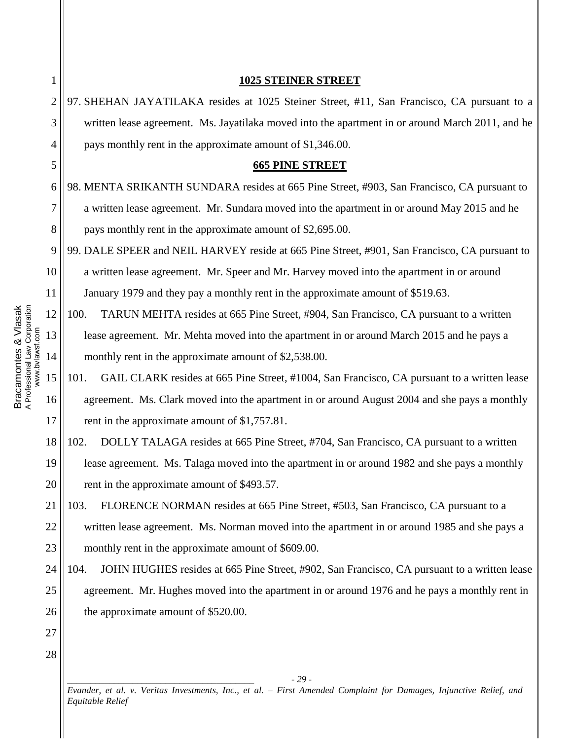| 1              | <b>1025 STEINER STREET</b>                                                                                                 |
|----------------|----------------------------------------------------------------------------------------------------------------------------|
| $\overline{2}$ | 97. SHEHAN JAYATILAKA resides at 1025 Steiner Street, #11, San Francisco, CA pursuant to a                                 |
| 3              | written lease agreement. Ms. Jayatilaka moved into the apartment in or around March 2011, and he                           |
| 4              | pays monthly rent in the approximate amount of \$1,346.00.                                                                 |
| 5              | <b>665 PINE STREET</b>                                                                                                     |
| 6              | 98. MENTA SRIKANTH SUNDARA resides at 665 Pine Street, #903, San Francisco, CA pursuant to                                 |
| 7              | a written lease agreement. Mr. Sundara moved into the apartment in or around May 2015 and he                               |
| 8              | pays monthly rent in the approximate amount of \$2,695.00.                                                                 |
| 9              | 99. DALE SPEER and NEIL HARVEY reside at 665 Pine Street, #901, San Francisco, CA pursuant to                              |
| 10             | a written lease agreement. Mr. Speer and Mr. Harvey moved into the apartment in or around                                  |
| 11             | January 1979 and they pay a monthly rent in the approximate amount of \$519.63.                                            |
| 12             | 100.<br>TARUN MEHTA resides at 665 Pine Street, #904, San Francisco, CA pursuant to a written                              |
| 13             | lease agreement. Mr. Mehta moved into the apartment in or around March 2015 and he pays a                                  |
| 14             | monthly rent in the approximate amount of \$2,538.00.                                                                      |
| 15             | GAIL CLARK resides at 665 Pine Street, #1004, San Francisco, CA pursuant to a written lease<br>101.                        |
| 16             | agreement. Ms. Clark moved into the apartment in or around August 2004 and she pays a monthly                              |
| 17             | rent in the approximate amount of \$1,757.81.                                                                              |
| 18             | 102.<br>DOLLY TALAGA resides at 665 Pine Street, #704, San Francisco, CA pursuant to a written                             |
| 19             | lease agreement. Ms. Talaga moved into the apartment in or around 1982 and she pays a monthly                              |
| 20             | rent in the approximate amount of \$493.57.                                                                                |
| 21             | 103.<br>FLORENCE NORMAN resides at 665 Pine Street, #503, San Francisco, CA pursuant to a                                  |
| 22             | written lease agreement. Ms. Norman moved into the apartment in or around 1985 and she pays a                              |
| 23             | monthly rent in the approximate amount of \$609.00.                                                                        |
| 24             | 104.<br>JOHN HUGHES resides at 665 Pine Street, #902, San Francisco, CA pursuant to a written lease                        |
| 25             | agreement. Mr. Hughes moved into the apartment in or around 1976 and he pays a monthly rent in                             |
| 26             | the approximate amount of \$520.00.                                                                                        |
| 27             |                                                                                                                            |
| 28             |                                                                                                                            |
|                | $-29-$<br>Evander et al y Veritas Investments Inc. et al<br>Amonded Complaint for Damages, Injunctive Relief, and<br>First |

Bracamontes & Vlasak<br>A Professional Law Corporation<br>www.bvlawsf.com Bracamontes & Vlasak A Professional Law Corporation www.bvlawsf.com

> *Eirst Amended Complaint for Damages, Injunctive Relief, and Equitable Relief*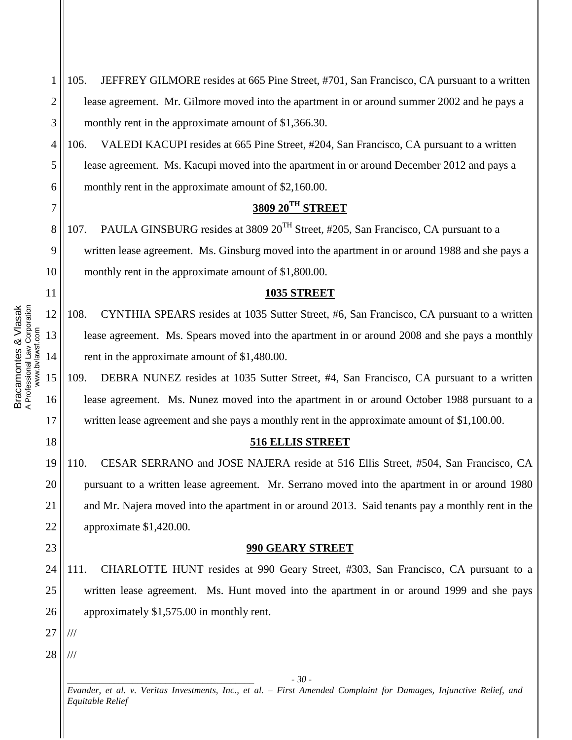105. JEFFREY GILMORE resides at 665 Pine Street, #701, San Francisco, CA pursuant to a written lease agreement. Mr. Gilmore moved into the apartment in or around summer 2002 and he pays a monthly rent in the approximate amount of \$1,366.30.

106. VALEDI KACUPI resides at 665 Pine Street, #204, San Francisco, CA pursuant to a written lease agreement. Ms. Kacupi moved into the apartment in or around December 2012 and pays a monthly rent in the approximate amount of \$2,160.00.

### **3809 20TH STREET**

107. PAULA GINSBURG resides at 3809  $20^{TH}$  Street, #205, San Francisco, CA pursuant to a written lease agreement. Ms. Ginsburg moved into the apartment in or around 1988 and she pays a monthly rent in the approximate amount of \$1,800.00.

#### **1035 STREET**

108. CYNTHIA SPEARS resides at 1035 Sutter Street, #6, San Francisco, CA pursuant to a written lease agreement. Ms. Spears moved into the apartment in or around 2008 and she pays a monthly rent in the approximate amount of \$1,480.00.

109. DEBRA NUNEZ resides at 1035 Sutter Street, #4, San Francisco, CA pursuant to a written lease agreement. Ms. Nunez moved into the apartment in or around October 1988 pursuant to a written lease agreement and she pays a monthly rent in the approximate amount of \$1,100.00.

#### **516 ELLIS STREET**

110. CESAR SERRANO and JOSE NAJERA reside at 516 Ellis Street, #504, San Francisco, CA pursuant to a written lease agreement. Mr. Serrano moved into the apartment in or around 1980 and Mr. Najera moved into the apartment in or around 2013. Said tenants pay a monthly rent in the approximate \$1,420.00.

#### **990 GEARY STREET**

111. CHARLOTTE HUNT resides at 990 Geary Street, #303, San Francisco, CA pursuant to a written lease agreement. Ms. Hunt moved into the apartment in or around 1999 and she pays approximately \$1,575.00 in monthly rent.

27 ///

28 ///

> *\_\_\_\_\_\_\_\_\_\_\_\_\_\_\_\_\_\_\_\_\_\_\_\_\_\_\_\_\_\_\_\_\_\_\_\_\_\_\_\_ - 30 - Evander, et al. v. Veritas Investments, Inc., et al. – First Amended Complaint for Damages, Injunctive Relief, and Equitable Relief*

Bracamontes & Vlasak<br>A Professional Law Corporation<br>www.bvlawsf.com Bracamontes & Vlasak A Professional Law Corporation www.bvlawsf.com

1

2

3

4

5

6

7

8

9

10

11

12

13

14

15

16

17

18

19

20

21

22

23

24

25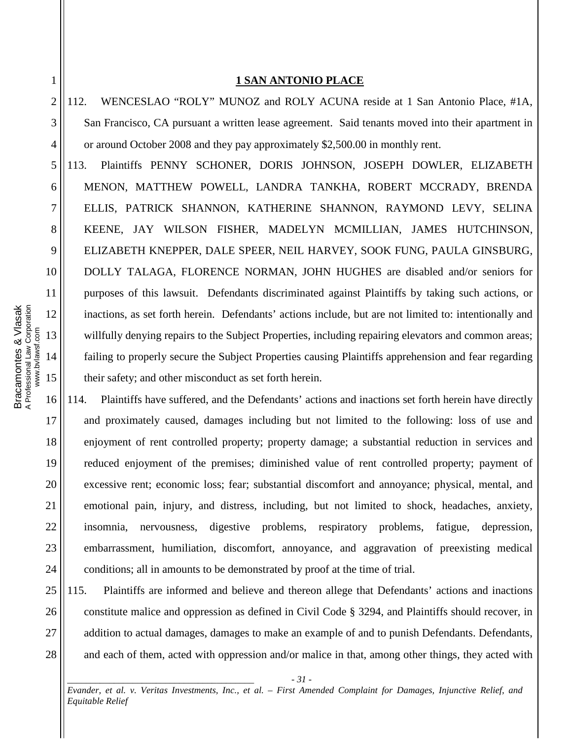### **1 SAN ANTONIO PLACE**

112. WENCESLAO "ROLY" MUNOZ and ROLY ACUNA reside at 1 San Antonio Place, #1A, San Francisco, CA pursuant a written lease agreement. Said tenants moved into their apartment in or around October 2008 and they pay approximately \$2,500.00 in monthly rent.

113. Plaintiffs PENNY SCHONER, DORIS JOHNSON, JOSEPH DOWLER, ELIZABETH MENON, MATTHEW POWELL, LANDRA TANKHA, ROBERT MCCRADY, BRENDA ELLIS, PATRICK SHANNON, KATHERINE SHANNON, RAYMOND LEVY, SELINA KEENE, JAY WILSON FISHER, MADELYN MCMILLIAN, JAMES HUTCHINSON, ELIZABETH KNEPPER, DALE SPEER, NEIL HARVEY, SOOK FUNG, PAULA GINSBURG, DOLLY TALAGA, FLORENCE NORMAN, JOHN HUGHES are disabled and/or seniors for purposes of this lawsuit. Defendants discriminated against Plaintiffs by taking such actions, or inactions, as set forth herein. Defendants' actions include, but are not limited to: intentionally and willfully denying repairs to the Subject Properties, including repairing elevators and common areas; failing to properly secure the Subject Properties causing Plaintiffs apprehension and fear regarding their safety; and other misconduct as set forth herein.

114. Plaintiffs have suffered, and the Defendants' actions and inactions set forth herein have directly and proximately caused, damages including but not limited to the following: loss of use and enjoyment of rent controlled property; property damage; a substantial reduction in services and reduced enjoyment of the premises; diminished value of rent controlled property; payment of excessive rent; economic loss; fear; substantial discomfort and annoyance; physical, mental, and emotional pain, injury, and distress, including, but not limited to shock, headaches, anxiety, insomnia, nervousness, digestive problems, respiratory problems, fatigue, depression, embarrassment, humiliation, discomfort, annoyance, and aggravation of preexisting medical conditions; all in amounts to be demonstrated by proof at the time of trial.

115. Plaintiffs are informed and believe and thereon allege that Defendants' actions and inactions constitute malice and oppression as defined in Civil Code § 3294, and Plaintiffs should recover, in addition to actual damages, damages to make an example of and to punish Defendants. Defendants, and each of them, acted with oppression and/or malice in that, among other things, they acted with

*\_\_\_\_\_\_\_\_\_\_\_\_\_\_\_\_\_\_\_\_\_\_\_\_\_\_\_\_\_\_\_\_\_\_\_\_\_\_\_\_ - 31 -*

*Evander, et al. v. Veritas Investments, Inc., et al. – First Amended Complaint for Damages, Injunctive Relief, and Equitable Relief* 

1

2

3

4

5

6

7

8

9

10

11

12

13

14

15

16

17

18

19

20

21

22

23

24

25

26

27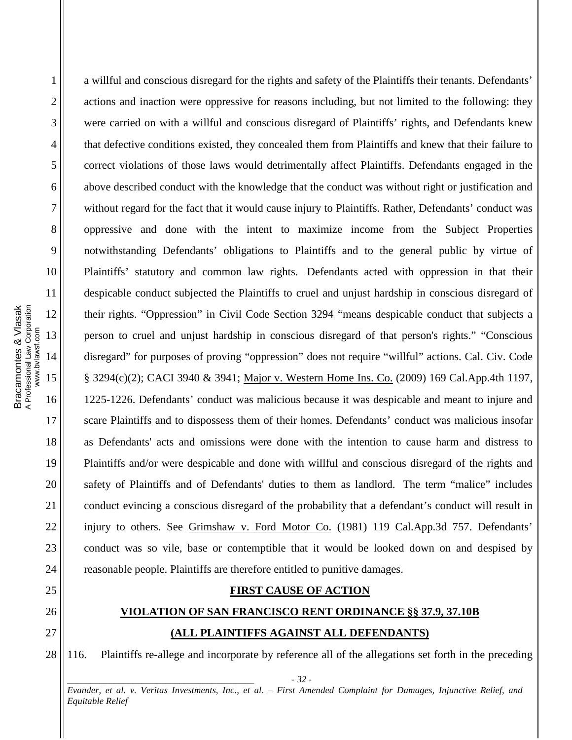1

Bracamontes & Vlasak A Professional Law Corporation a willful and conscious disregard for the rights and safety of the Plaintiffs their tenants. Defendants' actions and inaction were oppressive for reasons including, but not limited to the following: they were carried on with a willful and conscious disregard of Plaintiffs' rights, and Defendants knew that defective conditions existed, they concealed them from Plaintiffs and knew that their failure to correct violations of those laws would detrimentally affect Plaintiffs. Defendants engaged in the above described conduct with the knowledge that the conduct was without right or justification and without regard for the fact that it would cause injury to Plaintiffs. Rather, Defendants' conduct was oppressive and done with the intent to maximize income from the Subject Properties notwithstanding Defendants' obligations to Plaintiffs and to the general public by virtue of Plaintiffs' statutory and common law rights. Defendants acted with oppression in that their despicable conduct subjected the Plaintiffs to cruel and unjust hardship in conscious disregard of their rights. "Oppression" in Civil Code Section 3294 "means despicable conduct that subjects a person to cruel and unjust hardship in conscious disregard of that person's rights." "Conscious disregard" for purposes of proving "oppression" does not require "willful" actions. Cal. Civ. Code § 3294(c)(2); CACI 3940 & 3941; Major v. Western Home Ins. Co. (2009) 169 Cal.App.4th 1197, 1225-1226. Defendants' conduct was malicious because it was despicable and meant to injure and scare Plaintiffs and to dispossess them of their homes. Defendants' conduct was malicious insofar as Defendants' acts and omissions were done with the intention to cause harm and distress to Plaintiffs and/or were despicable and done with willful and conscious disregard of the rights and safety of Plaintiffs and of Defendants' duties to them as landlord. The term "malice" includes conduct evincing a conscious disregard of the probability that a defendant's conduct will result in injury to others. See Grimshaw v. Ford Motor Co. (1981) 119 Cal.App.3d 757. Defendants' conduct was so vile, base or contemptible that it would be looked down on and despised by reasonable people. Plaintiffs are therefore entitled to punitive damages.

### **FIRST CAUSE OF ACTION**

### **VIOLATION OF SAN FRANCISCO RENT ORDINANCE §§ 37.9, 37.10B (ALL PLAINTIFFS AGAINST ALL DEFENDANTS)**

116. Plaintiffs re-allege and incorporate by reference all of the allegations set forth in the preceding

*\_\_\_\_\_\_\_\_\_\_\_\_\_\_\_\_\_\_\_\_\_\_\_\_\_\_\_\_\_\_\_\_\_\_\_\_\_\_\_\_ - 32 - Evander, et al. v. Veritas Investments, Inc., et al. – First Amended Complaint for Damages, Injunctive Relief, and Equitable Relief*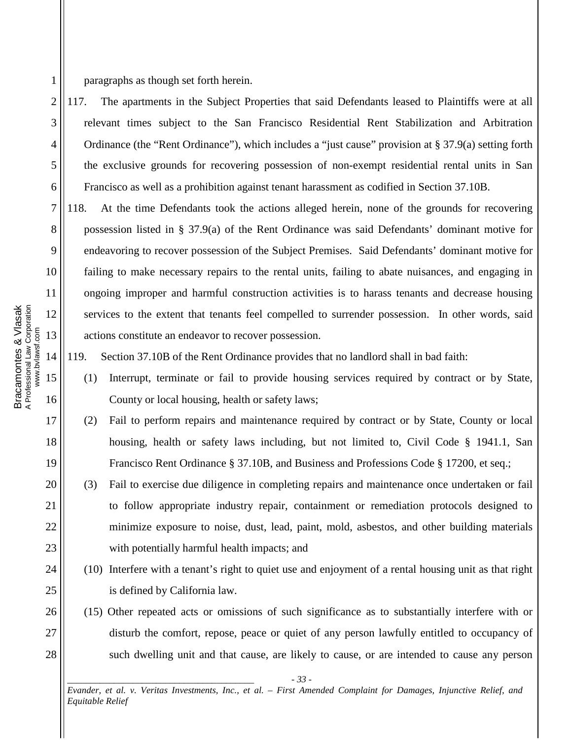1 2

3

4

5

6

7

8

9

10

11

17

18

19

20

21

22

23

24

25

26

27

28

paragraphs as though set forth herein.

117. The apartments in the Subject Properties that said Defendants leased to Plaintiffs were at all relevant times subject to the San Francisco Residential Rent Stabilization and Arbitration Ordinance (the "Rent Ordinance"), which includes a "just cause" provision at § 37.9(a) setting forth the exclusive grounds for recovering possession of non-exempt residential rental units in San Francisco as well as a prohibition against tenant harassment as codified in Section 37.10B.

118. At the time Defendants took the actions alleged herein, none of the grounds for recovering possession listed in § 37.9(a) of the Rent Ordinance was said Defendants' dominant motive for endeavoring to recover possession of the Subject Premises. Said Defendants' dominant motive for failing to make necessary repairs to the rental units, failing to abate nuisances, and engaging in ongoing improper and harmful construction activities is to harass tenants and decrease housing services to the extent that tenants feel compelled to surrender possession. In other words, said actions constitute an endeavor to recover possession.

119. Section 37.10B of the Rent Ordinance provides that no landlord shall in bad faith:

- (1) Interrupt, terminate or fail to provide housing services required by contract or by State, County or local housing, health or safety laws;
- (2) Fail to perform repairs and maintenance required by contract or by State, County or local housing, health or safety laws including, but not limited to, Civil Code § 1941.1, San Francisco Rent Ordinance § 37.10B, and Business and Professions Code § 17200, et seq.;
- (3) Fail to exercise due diligence in completing repairs and maintenance once undertaken or fail to follow appropriate industry repair, containment or remediation protocols designed to minimize exposure to noise, dust, lead, paint, mold, asbestos, and other building materials with potentially harmful health impacts; and
- (10) Interfere with a tenant's right to quiet use and enjoyment of a rental housing unit as that right is defined by California law.
- (15) Other repeated acts or omissions of such significance as to substantially interfere with or disturb the comfort, repose, peace or quiet of any person lawfully entitled to occupancy of such dwelling unit and that cause, are likely to cause, or are intended to cause any person

*\_\_\_\_\_\_\_\_\_\_\_\_\_\_\_\_\_\_\_\_\_\_\_\_\_\_\_\_\_\_\_\_\_\_\_\_\_\_\_\_ - 33 -*

*Evander, et al. v. Veritas Investments, Inc., et al. – First Amended Complaint for Damages, Injunctive Relief, and Equitable Relief*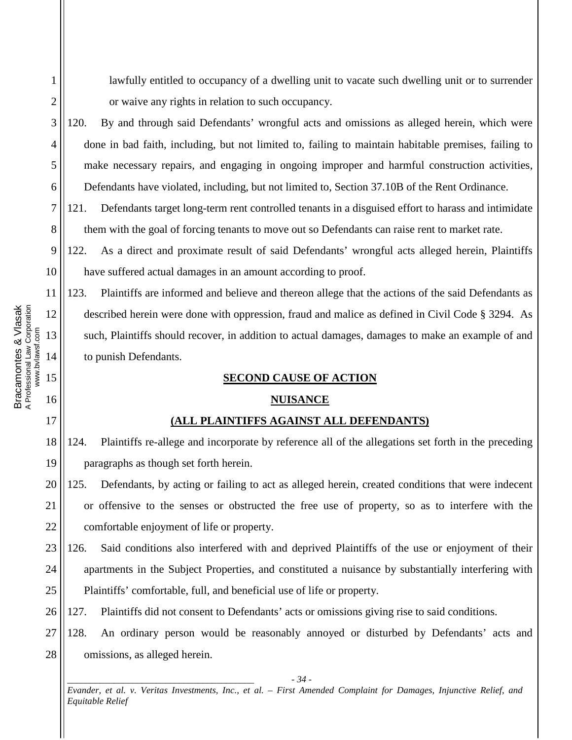lawfully entitled to occupancy of a dwelling unit to vacate such dwelling unit or to surrender or waive any rights in relation to such occupancy.

120. By and through said Defendants' wrongful acts and omissions as alleged herein, which were done in bad faith, including, but not limited to, failing to maintain habitable premises, failing to make necessary repairs, and engaging in ongoing improper and harmful construction activities, Defendants have violated, including, but not limited to, Section 37.10B of the Rent Ordinance.

121. Defendants target long-term rent controlled tenants in a disguised effort to harass and intimidate them with the goal of forcing tenants to move out so Defendants can raise rent to market rate.

122. As a direct and proximate result of said Defendants' wrongful acts alleged herein, Plaintiffs have suffered actual damages in an amount according to proof.

123. Plaintiffs are informed and believe and thereon allege that the actions of the said Defendants as described herein were done with oppression, fraud and malice as defined in Civil Code § 3294. As such, Plaintiffs should recover, in addition to actual damages, damages to make an example of and to punish Defendants.

### **SECOND CAUSE OF ACTION**

#### **NUISANCE**

### **(ALL PLAINTIFFS AGAINST ALL DEFENDANTS)**

18 19 124. Plaintiffs re-allege and incorporate by reference all of the allegations set forth in the preceding paragraphs as though set forth herein.

20 21 22 125. Defendants, by acting or failing to act as alleged herein, created conditions that were indecent or offensive to the senses or obstructed the free use of property, so as to interfere with the comfortable enjoyment of life or property.

23 24 25 126. Said conditions also interfered with and deprived Plaintiffs of the use or enjoyment of their apartments in the Subject Properties, and constituted a nuisance by substantially interfering with Plaintiffs' comfortable, full, and beneficial use of life or property.

26 127. Plaintiffs did not consent to Defendants' acts or omissions giving rise to said conditions.

27 28 128. An ordinary person would be reasonably annoyed or disturbed by Defendants' acts and omissions, as alleged herein.

*\_\_\_\_\_\_\_\_\_\_\_\_\_\_\_\_\_\_\_\_\_\_\_\_\_\_\_\_\_\_\_\_\_\_\_\_\_\_\_\_ - 34 - Evander, et al. v. Veritas Investments, Inc., et al. – First Amended Complaint for Damages, Injunctive Relief, and Equitable Relief* 

11 Bracamontes & Vlasak<br>A Professional Law Corporation<br>www.bvlawsf.com Bracamontes & Vlasak A Professional Law Corporation 12 www.bvlawsf.com 13 14 15 16 17

1

2

3

4

5

6

7

8

9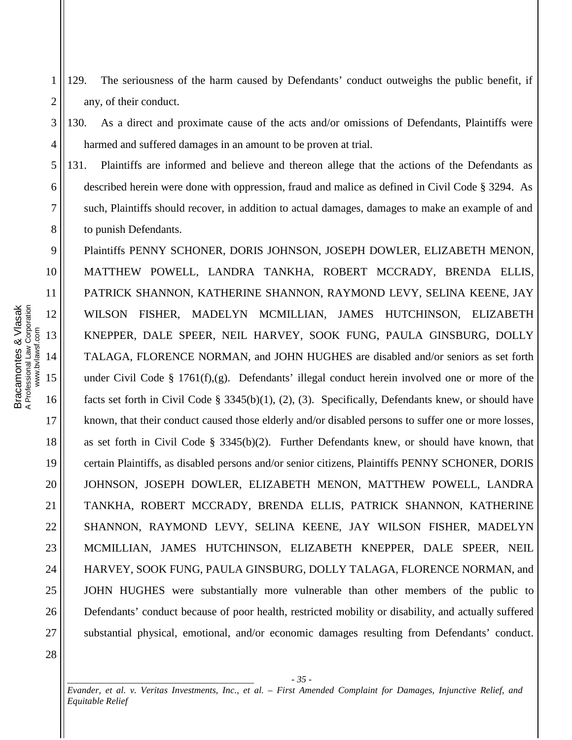- 129. The seriousness of the harm caused by Defendants' conduct outweighs the public benefit, if any, of their conduct.
- 130. As a direct and proximate cause of the acts and/or omissions of Defendants, Plaintiffs were harmed and suffered damages in an amount to be proven at trial.

131. Plaintiffs are informed and believe and thereon allege that the actions of the Defendants as described herein were done with oppression, fraud and malice as defined in Civil Code § 3294. As such, Plaintiffs should recover, in addition to actual damages, damages to make an example of and to punish Defendants.

Plaintiffs PENNY SCHONER, DORIS JOHNSON, JOSEPH DOWLER, ELIZABETH MENON, MATTHEW POWELL, LANDRA TANKHA, ROBERT MCCRADY, BRENDA ELLIS, PATRICK SHANNON, KATHERINE SHANNON, RAYMOND LEVY, SELINA KEENE, JAY WILSON FISHER, MADELYN MCMILLIAN, JAMES HUTCHINSON, ELIZABETH KNEPPER, DALE SPEER, NEIL HARVEY, SOOK FUNG, PAULA GINSBURG, DOLLY TALAGA, FLORENCE NORMAN, and JOHN HUGHES are disabled and/or seniors as set forth under Civil Code § 1761(f),(g). Defendants' illegal conduct herein involved one or more of the facts set forth in Civil Code § 3345(b)(1), (2), (3). Specifically, Defendants knew, or should have known, that their conduct caused those elderly and/or disabled persons to suffer one or more losses, as set forth in Civil Code § 3345(b)(2). Further Defendants knew, or should have known, that certain Plaintiffs, as disabled persons and/or senior citizens, Plaintiffs PENNY SCHONER, DORIS JOHNSON, JOSEPH DOWLER, ELIZABETH MENON, MATTHEW POWELL, LANDRA TANKHA, ROBERT MCCRADY, BRENDA ELLIS, PATRICK SHANNON, KATHERINE SHANNON, RAYMOND LEVY, SELINA KEENE, JAY WILSON FISHER, MADELYN MCMILLIAN, JAMES HUTCHINSON, ELIZABETH KNEPPER, DALE SPEER, NEIL HARVEY, SOOK FUNG, PAULA GINSBURG, DOLLY TALAGA, FLORENCE NORMAN, and JOHN HUGHES were substantially more vulnerable than other members of the public to Defendants' conduct because of poor health, restricted mobility or disability, and actually suffered substantial physical, emotional, and/or economic damages resulting from Defendants' conduct.

1

2

3

4

5

6

7

8

9

10

11

12

13

14

15

16

17

18

19

20

21

22

23

24

25

26

27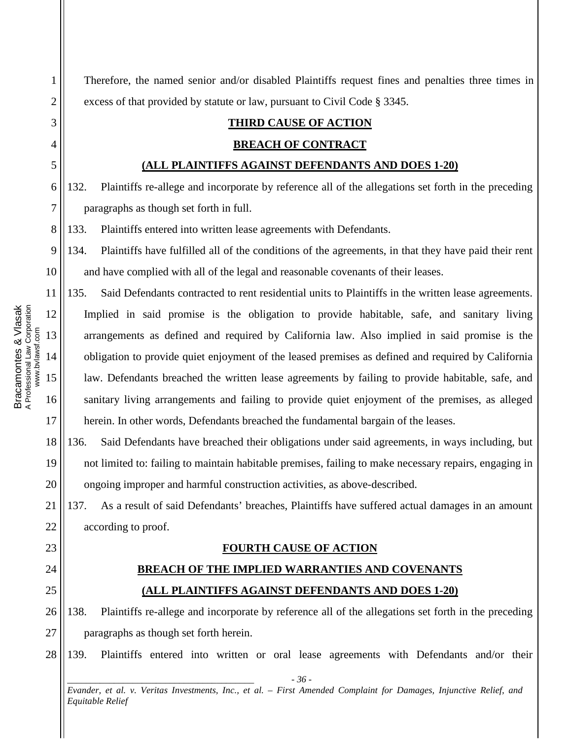24

25

26

27

1

Bracamontes & Vlasak A Professional Law Corporation www.bvlawsf.com

Bracamontes & Vlasak<br>A Professional Law Corporation<br>www.bvlawsf.com

Therefore, the named senior and/or disabled Plaintiffs request fines and penalties three times in excess of that provided by statute or law, pursuant to Civil Code § 3345.

# **THIRD CAUSE OF ACTION**

### **BREACH OF CONTRACT**

### **(ALL PLAINTIFFS AGAINST DEFENDANTS AND DOES 1-20)**

132. Plaintiffs re-allege and incorporate by reference all of the allegations set forth in the preceding paragraphs as though set forth in full.

133. Plaintiffs entered into written lease agreements with Defendants.

134. Plaintiffs have fulfilled all of the conditions of the agreements, in that they have paid their rent and have complied with all of the legal and reasonable covenants of their leases.

135. Said Defendants contracted to rent residential units to Plaintiffs in the written lease agreements. Implied in said promise is the obligation to provide habitable, safe, and sanitary living arrangements as defined and required by California law. Also implied in said promise is the obligation to provide quiet enjoyment of the leased premises as defined and required by California law. Defendants breached the written lease agreements by failing to provide habitable, safe, and sanitary living arrangements and failing to provide quiet enjoyment of the premises, as alleged herein. In other words, Defendants breached the fundamental bargain of the leases.

136. Said Defendants have breached their obligations under said agreements, in ways including, but not limited to: failing to maintain habitable premises, failing to make necessary repairs, engaging in ongoing improper and harmful construction activities, as above-described.

137. As a result of said Defendants' breaches, Plaintiffs have suffered actual damages in an amount according to proof.

### **FOURTH CAUSE OF ACTION**

## **BREACH OF THE IMPLIED WARRANTIES AND COVENANTS (ALL PLAINTIFFS AGAINST DEFENDANTS AND DOES 1-20)**

138. Plaintiffs re-allege and incorporate by reference all of the allegations set forth in the preceding paragraphs as though set forth herein.

28 139. Plaintiffs entered into written or oral lease agreements with Defendants and/or their

*\_\_\_\_\_\_\_\_\_\_\_\_\_\_\_\_\_\_\_\_\_\_\_\_\_\_\_\_\_\_\_\_\_\_\_\_\_\_\_\_ - 36 - Evander, et al. v. Veritas Investments, Inc., et al. – First Amended Complaint for Damages, Injunctive Relief, and Equitable Relief*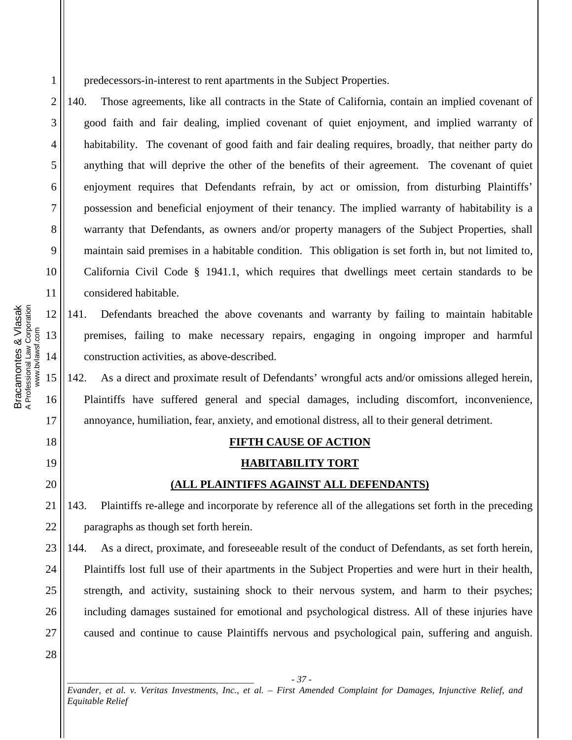predecessors-in-interest to rent apartments in the Subject Properties.

140. Those agreements, like all contracts in the State of California, contain an implied covenant of good faith and fair dealing, implied covenant of quiet enjoyment, and implied warranty of habitability. The covenant of good faith and fair dealing requires, broadly, that neither party do anything that will deprive the other of the benefits of their agreement. The covenant of quiet enjoyment requires that Defendants refrain, by act or omission, from disturbing Plaintiffs' possession and beneficial enjoyment of their tenancy. The implied warranty of habitability is a warranty that Defendants, as owners and/or property managers of the Subject Properties, shall maintain said premises in a habitable condition. This obligation is set forth in, but not limited to, California Civil Code § 1941.1, which requires that dwellings meet certain standards to be considered habitable.

## 141. Defendants breached the above covenants and warranty by failing to maintain habitable premises, failing to make necessary repairs, engaging in ongoing improper and harmful construction activities, as above-described.

142. As a direct and proximate result of Defendants' wrongful acts and/or omissions alleged herein, Plaintiffs have suffered general and special damages, including discomfort, inconvenience, annoyance, humiliation, fear, anxiety, and emotional distress, all to their general detriment.

### **FIFTH CAUSE OF ACTION**

### **HABITABILITY TORT**

### **(ALL PLAINTIFFS AGAINST ALL DEFENDANTS)**

143. Plaintiffs re-allege and incorporate by reference all of the allegations set forth in the preceding paragraphs as though set forth herein.

144. As a direct, proximate, and foreseeable result of the conduct of Defendants, as set forth herein, Plaintiffs lost full use of their apartments in the Subject Properties and were hurt in their health, strength, and activity, sustaining shock to their nervous system, and harm to their psyches; including damages sustained for emotional and psychological distress. All of these injuries have caused and continue to cause Plaintiffs nervous and psychological pain, suffering and anguish.

28

*\_\_\_\_\_\_\_\_\_\_\_\_\_\_\_\_\_\_\_\_\_\_\_\_\_\_\_\_\_\_\_\_\_\_\_\_\_\_\_\_ - 37 - Evander, et al. v. Veritas Investments, Inc., et al. – First Amended Complaint for Damages, Injunctive Relief, and Equitable Relief* 

1

2

3

4

5

6

7

8

9

10

11

12

13

14

15

16

17

18

19

20

21

22

23

24

25

26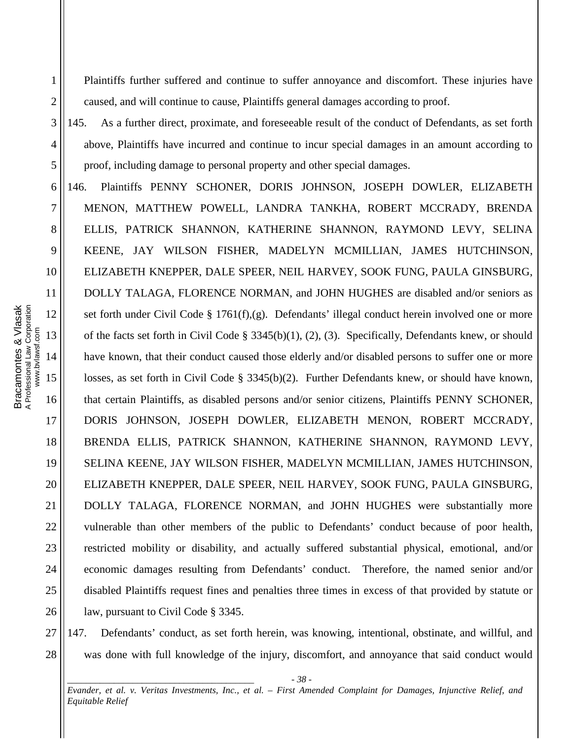Plaintiffs further suffered and continue to suffer annoyance and discomfort. These injuries have caused, and will continue to cause, Plaintiffs general damages according to proof.

145. As a further direct, proximate, and foreseeable result of the conduct of Defendants, as set forth above, Plaintiffs have incurred and continue to incur special damages in an amount according to proof, including damage to personal property and other special damages.

146. Plaintiffs PENNY SCHONER, DORIS JOHNSON, JOSEPH DOWLER, ELIZABETH MENON, MATTHEW POWELL, LANDRA TANKHA, ROBERT MCCRADY, BRENDA ELLIS, PATRICK SHANNON, KATHERINE SHANNON, RAYMOND LEVY, SELINA KEENE, JAY WILSON FISHER, MADELYN MCMILLIAN, JAMES HUTCHINSON, ELIZABETH KNEPPER, DALE SPEER, NEIL HARVEY, SOOK FUNG, PAULA GINSBURG, DOLLY TALAGA, FLORENCE NORMAN, and JOHN HUGHES are disabled and/or seniors as set forth under Civil Code § 1761(f),(g). Defendants' illegal conduct herein involved one or more of the facts set forth in Civil Code § 3345(b)(1), (2), (3). Specifically, Defendants knew, or should have known, that their conduct caused those elderly and/or disabled persons to suffer one or more losses, as set forth in Civil Code § 3345(b)(2). Further Defendants knew, or should have known, that certain Plaintiffs, as disabled persons and/or senior citizens, Plaintiffs PENNY SCHONER, DORIS JOHNSON, JOSEPH DOWLER, ELIZABETH MENON, ROBERT MCCRADY, BRENDA ELLIS, PATRICK SHANNON, KATHERINE SHANNON, RAYMOND LEVY, SELINA KEENE, JAY WILSON FISHER, MADELYN MCMILLIAN, JAMES HUTCHINSON, ELIZABETH KNEPPER, DALE SPEER, NEIL HARVEY, SOOK FUNG, PAULA GINSBURG, DOLLY TALAGA, FLORENCE NORMAN, and JOHN HUGHES were substantially more vulnerable than other members of the public to Defendants' conduct because of poor health, restricted mobility or disability, and actually suffered substantial physical, emotional, and/or economic damages resulting from Defendants' conduct. Therefore, the named senior and/or disabled Plaintiffs request fines and penalties three times in excess of that provided by statute or law, pursuant to Civil Code § 3345.

147. Defendants' conduct, as set forth herein, was knowing, intentional, obstinate, and willful, and was done with full knowledge of the injury, discomfort, and annoyance that said conduct would

*Evander, et al. v. Veritas Investments, Inc., et al. – First Amended Complaint for Damages, Injunctive Relief, and Equitable Relief* 

1

2

3

4

5

6

7

8

9

10

11

12

13

14

15

16

17

18

19

20

21

22

23

24

25

26

27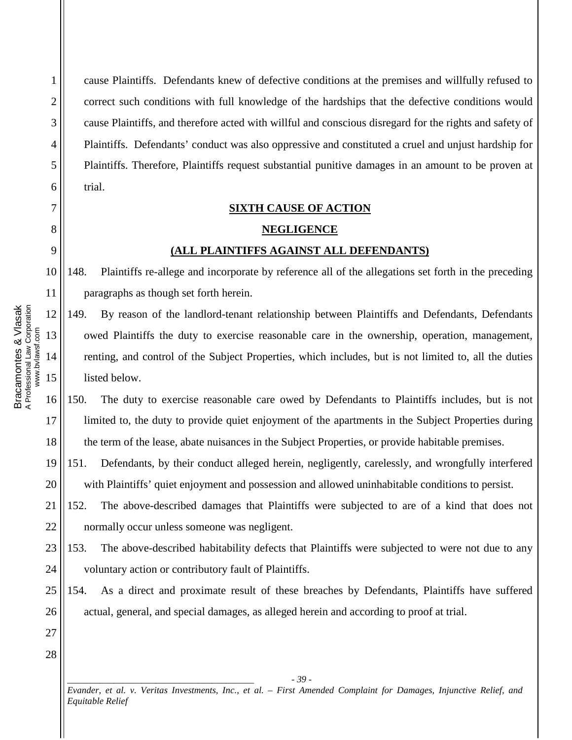1

2

3

4

5

6

7

8

9

cause Plaintiffs. Defendants knew of defective conditions at the premises and willfully refused to correct such conditions with full knowledge of the hardships that the defective conditions would cause Plaintiffs, and therefore acted with willful and conscious disregard for the rights and safety of Plaintiffs. Defendants' conduct was also oppressive and constituted a cruel and unjust hardship for Plaintiffs. Therefore, Plaintiffs request substantial punitive damages in an amount to be proven at trial.

### **SIXTH CAUSE OF ACTION NEGLIGENCE**

### **(ALL PLAINTIFFS AGAINST ALL DEFENDANTS)**

148. Plaintiffs re-allege and incorporate by reference all of the allegations set forth in the preceding paragraphs as though set forth herein.

149. By reason of the landlord-tenant relationship between Plaintiffs and Defendants, Defendants owed Plaintiffs the duty to exercise reasonable care in the ownership, operation, management, renting, and control of the Subject Properties, which includes, but is not limited to, all the duties listed below.

150. The duty to exercise reasonable care owed by Defendants to Plaintiffs includes, but is not limited to, the duty to provide quiet enjoyment of the apartments in the Subject Properties during the term of the lease, abate nuisances in the Subject Properties, or provide habitable premises.

151. Defendants, by their conduct alleged herein, negligently, carelessly, and wrongfully interfered with Plaintiffs' quiet enjoyment and possession and allowed uninhabitable conditions to persist.

152. The above-described damages that Plaintiffs were subjected to are of a kind that does not normally occur unless someone was negligent.

23 24 153. The above-described habitability defects that Plaintiffs were subjected to were not due to any voluntary action or contributory fault of Plaintiffs.

154. As a direct and proximate result of these breaches by Defendants, Plaintiffs have suffered actual, general, and special damages, as alleged herein and according to proof at trial.

27 28

25

26

21

22

*\_\_\_\_\_\_\_\_\_\_\_\_\_\_\_\_\_\_\_\_\_\_\_\_\_\_\_\_\_\_\_\_\_\_\_\_\_\_\_\_ - 39 - Evander, et al. v. Veritas Investments, Inc., et al. – First Amended Complaint for Damages, Injunctive Relief, and Equitable Relief*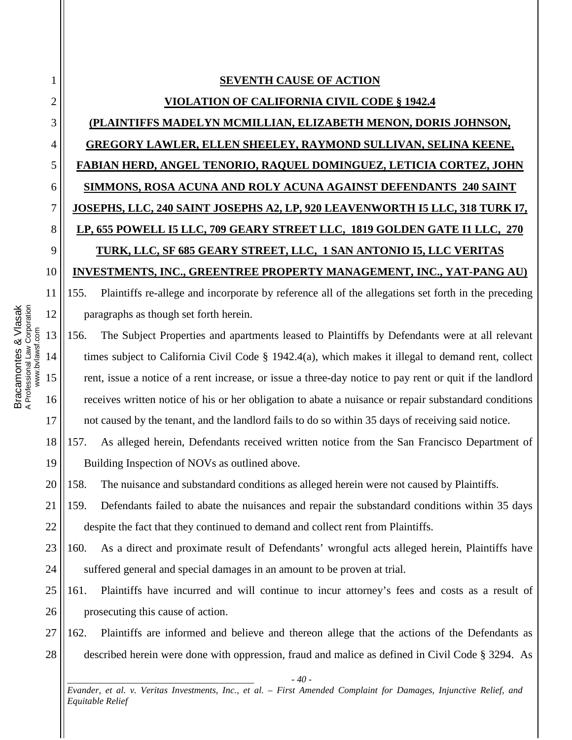### **SEVENTH CAUSE OF ACTION**

# **VIOLATION OF CALIFORNIA CIVIL CODE § 1942.4 (PLAINTIFFS MADELYN MCMILLIAN, ELIZABETH MENON, DORIS JOHNSON, GREGORY LAWLER, ELLEN SHEELEY, RAYMOND SULLIVAN, SELINA KEENE, FABIAN HERD, ANGEL TENORIO, RAQUEL DOMINGUEZ, LETICIA CORTEZ, JOHN SIMMONS, ROSA ACUNA AND ROLY ACUNA AGAINST DEFENDANTS 240 SAINT JOSEPHS, LLC, 240 SAINT JOSEPHS A2, LP, 920 LEAVENWORTH I5 LLC, 318 TURK I7, LP, 655 POWELL I5 LLC, 709 GEARY STREET LLC, 1819 GOLDEN GATE I1 LLC, 270 TURK, LLC, SF 685 GEARY STREET, LLC, 1 SAN ANTONIO I5, LLC VERITAS INVESTMENTS, INC., GREENTREE PROPERTY MANAGEMENT, INC., YAT-PANG AU)**

155. Plaintiffs re-allege and incorporate by reference all of the allegations set forth in the preceding paragraphs as though set forth herein.

156. The Subject Properties and apartments leased to Plaintiffs by Defendants were at all relevant times subject to California Civil Code § 1942.4(a), which makes it illegal to demand rent, collect rent, issue a notice of a rent increase, or issue a three-day notice to pay rent or quit if the landlord receives written notice of his or her obligation to abate a nuisance or repair substandard conditions not caused by the tenant, and the landlord fails to do so within 35 days of receiving said notice.

157. As alleged herein, Defendants received written notice from the San Francisco Department of Building Inspection of NOVs as outlined above.

158. The nuisance and substandard conditions as alleged herein were not caused by Plaintiffs.

159. Defendants failed to abate the nuisances and repair the substandard conditions within 35 days despite the fact that they continued to demand and collect rent from Plaintiffs.

160. As a direct and proximate result of Defendants' wrongful acts alleged herein, Plaintiffs have suffered general and special damages in an amount to be proven at trial.

25 26 161. Plaintiffs have incurred and will continue to incur attorney's fees and costs as a result of prosecuting this cause of action.

162. Plaintiffs are informed and believe and thereon allege that the actions of the Defendants as described herein were done with oppression, fraud and malice as defined in Civil Code § 3294. As

*\_\_\_\_\_\_\_\_\_\_\_\_\_\_\_\_\_\_\_\_\_\_\_\_\_\_\_\_\_\_\_\_\_\_\_\_\_\_\_\_ - 40 - Evander, et al. v. Veritas Investments, Inc., et al. – First Amended Complaint for Damages, Injunctive Relief, and Equitable Relief* 

1

2

3

4

5

6

7

8

9

10

11

12

13

14

15

16

17

18

19

20

21

22

23

24

27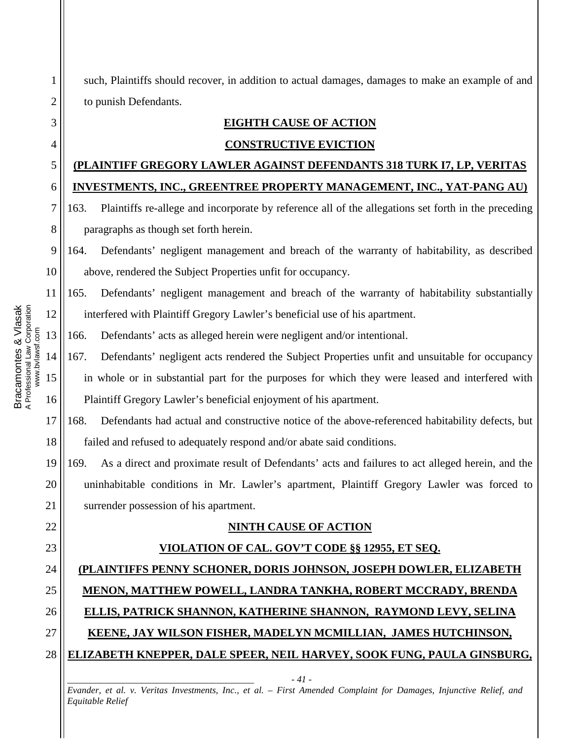such, Plaintiffs should recover, in addition to actual damages, damages to make an example of and to punish Defendants.

### **EIGHTH CAUSE OF ACTION**

### **CONSTRUCTIVE EVICTION**

## **(PLAINTIFF GREGORY LAWLER AGAINST DEFENDANTS 318 TURK I7, LP, VERITAS**

### **INVESTMENTS, INC., GREENTREE PROPERTY MANAGEMENT, INC., YAT-PANG AU)**

163. Plaintiffs re-allege and incorporate by reference all of the allegations set forth in the preceding paragraphs as though set forth herein.

164. Defendants' negligent management and breach of the warranty of habitability, as described above, rendered the Subject Properties unfit for occupancy.

12 165. Defendants' negligent management and breach of the warranty of habitability substantially interfered with Plaintiff Gregory Lawler's beneficial use of his apartment.

166. Defendants' acts as alleged herein were negligent and/or intentional.

167. Defendants' negligent acts rendered the Subject Properties unfit and unsuitable for occupancy in whole or in substantial part for the purposes for which they were leased and interfered with Plaintiff Gregory Lawler's beneficial enjoyment of his apartment.

168. Defendants had actual and constructive notice of the above-referenced habitability defects, but failed and refused to adequately respond and/or abate said conditions.

169. As a direct and proximate result of Defendants' acts and failures to act alleged herein, and the uninhabitable conditions in Mr. Lawler's apartment, Plaintiff Gregory Lawler was forced to surrender possession of his apartment.

### **NINTH CAUSE OF ACTION**

### **VIOLATION OF CAL. GOV'T CODE §§ 12955, ET SEQ.**

## **(PLAINTIFFS PENNY SCHONER, DORIS JOHNSON, JOSEPH DOWLER, ELIZABETH MENON, MATTHEW POWELL, LANDRA TANKHA, ROBERT MCCRADY, BRENDA ELLIS, PATRICK SHANNON, KATHERINE SHANNON, RAYMOND LEVY, SELINA KEENE, JAY WILSON FISHER, MADELYN MCMILLIAN, JAMES HUTCHINSON, ELIZABETH KNEPPER, DALE SPEER, NEIL HARVEY, SOOK FUNG, PAULA GINSBURG,**

*\_\_\_\_\_\_\_\_\_\_\_\_\_\_\_\_\_\_\_\_\_\_\_\_\_\_\_\_\_\_\_\_\_\_\_\_\_\_\_\_ - 41 - Evander, et al. v. Veritas Investments, Inc., et al. – First Amended Complaint for Damages, Injunctive Relief, and Equitable Relief* 

Bracamontes & Vlasak<br>A Professional Law Corporation<br>www.bvlawsf.com Bracamontes & Vlasak A Professional Law Corporation www.bvlawsf.com 13 14 15 16

1

2

3

4

5

6

7

8

9

10

11

17

18

19

20

21

22

23

24

25

26

27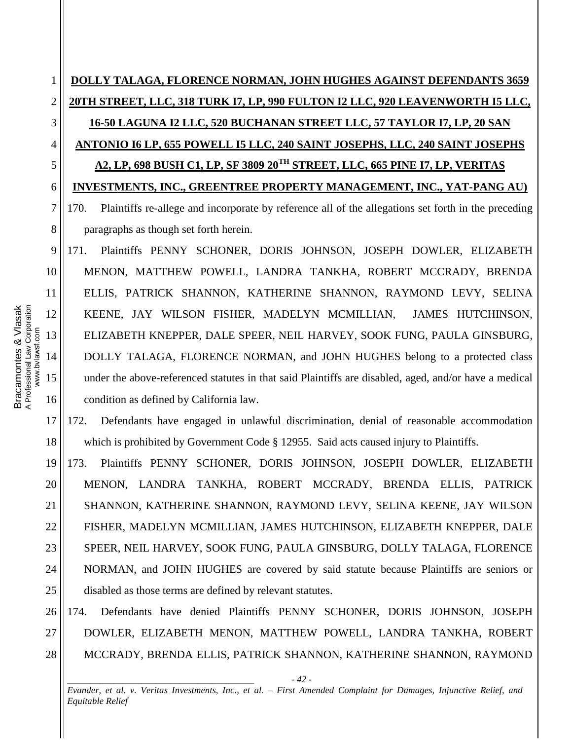**DOLLY TALAGA, FLORENCE NORMAN, JOHN HUGHES AGAINST DEFENDANTS 3659 20TH STREET, LLC, 318 TURK I7, LP, 990 FULTON I2 LLC, 920 LEAVENWORTH I5 LLC, 16-50 LAGUNA I2 LLC, 520 BUCHANAN STREET LLC, 57 TAYLOR I7, LP, 20 SAN ANTONIO I6 LP, 655 POWELL I5 LLC, 240 SAINT JOSEPHS, LLC, 240 SAINT JOSEPHS A2, LP, 698 BUSH C1, LP, SF 3809 20TH STREET, LLC, 665 PINE I7, LP, VERITAS INVESTMENTS, INC., GREENTREE PROPERTY MANAGEMENT, INC., YAT-PANG AU)** 170. Plaintiffs re-allege and incorporate by reference all of the allegations set forth in the preceding paragraphs as though set forth herein.

171. Plaintiffs PENNY SCHONER, DORIS JOHNSON, JOSEPH DOWLER, ELIZABETH MENON, MATTHEW POWELL, LANDRA TANKHA, ROBERT MCCRADY, BRENDA ELLIS, PATRICK SHANNON, KATHERINE SHANNON, RAYMOND LEVY, SELINA KEENE, JAY WILSON FISHER, MADELYN MCMILLIAN, JAMES HUTCHINSON, ELIZABETH KNEPPER, DALE SPEER, NEIL HARVEY, SOOK FUNG, PAULA GINSBURG, DOLLY TALAGA, FLORENCE NORMAN, and JOHN HUGHES belong to a protected class under the above-referenced statutes in that said Plaintiffs are disabled, aged, and/or have a medical condition as defined by California law.

172. Defendants have engaged in unlawful discrimination, denial of reasonable accommodation which is prohibited by Government Code § 12955. Said acts caused injury to Plaintiffs.

19 20 21 22 23 24 25 173. Plaintiffs PENNY SCHONER, DORIS JOHNSON, JOSEPH DOWLER, ELIZABETH MENON, LANDRA TANKHA, ROBERT MCCRADY, BRENDA ELLIS, PATRICK SHANNON, KATHERINE SHANNON, RAYMOND LEVY, SELINA KEENE, JAY WILSON FISHER, MADELYN MCMILLIAN, JAMES HUTCHINSON, ELIZABETH KNEPPER, DALE SPEER, NEIL HARVEY, SOOK FUNG, PAULA GINSBURG, DOLLY TALAGA, FLORENCE NORMAN, and JOHN HUGHES are covered by said statute because Plaintiffs are seniors or disabled as those terms are defined by relevant statutes.

26 27 28 174. Defendants have denied Plaintiffs PENNY SCHONER, DORIS JOHNSON, JOSEPH DOWLER, ELIZABETH MENON, MATTHEW POWELL, LANDRA TANKHA, ROBERT MCCRADY, BRENDA ELLIS, PATRICK SHANNON, KATHERINE SHANNON, RAYMOND

*\_\_\_\_\_\_\_\_\_\_\_\_\_\_\_\_\_\_\_\_\_\_\_\_\_\_\_\_\_\_\_\_\_\_\_\_\_\_\_\_ - 42 - Evander, et al. v. Veritas Investments, Inc., et al. – First Amended Complaint for Damages, Injunctive Relief, and Equitable Relief* 

Bracamontes & Vlasak<br>A Professional Law Corporation<br>www.bvlawsf.com Bracamontes & Vlasak A Professional Law Corporation 12 www.bvlawsf.com 13 14 15 16

1

2

3

4

5

6

7

8

9

10

11

17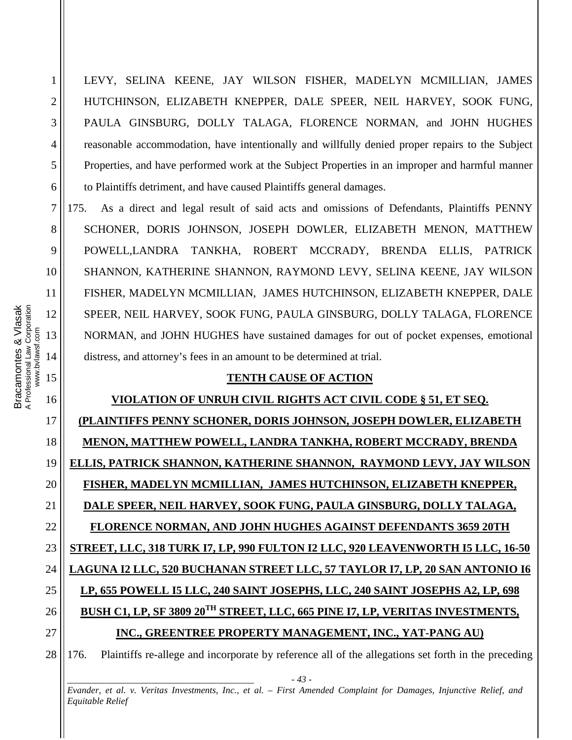LEVY, SELINA KEENE, JAY WILSON FISHER, MADELYN MCMILLIAN, JAMES HUTCHINSON, ELIZABETH KNEPPER, DALE SPEER, NEIL HARVEY, SOOK FUNG, PAULA GINSBURG, DOLLY TALAGA, FLORENCE NORMAN, and JOHN HUGHES reasonable accommodation, have intentionally and willfully denied proper repairs to the Subject Properties, and have performed work at the Subject Properties in an improper and harmful manner to Plaintiffs detriment, and have caused Plaintiffs general damages.

175. As a direct and legal result of said acts and omissions of Defendants, Plaintiffs PENNY SCHONER, DORIS JOHNSON, JOSEPH DOWLER, ELIZABETH MENON, MATTHEW POWELL,LANDRA TANKHA, ROBERT MCCRADY, BRENDA ELLIS, PATRICK SHANNON, KATHERINE SHANNON, RAYMOND LEVY, SELINA KEENE, JAY WILSON FISHER, MADELYN MCMILLIAN, JAMES HUTCHINSON, ELIZABETH KNEPPER, DALE SPEER, NEIL HARVEY, SOOK FUNG, PAULA GINSBURG, DOLLY TALAGA, FLORENCE NORMAN, and JOHN HUGHES have sustained damages for out of pocket expenses, emotional distress, and attorney's fees in an amount to be determined at trial.

### **TENTH CAUSE OF ACTION**

# **VIOLATION OF UNRUH CIVIL RIGHTS ACT CIVIL CODE § 51, ET SEQ. (PLAINTIFFS PENNY SCHONER, DORIS JOHNSON, JOSEPH DOWLER, ELIZABETH MENON, MATTHEW POWELL, LANDRA TANKHA, ROBERT MCCRADY, BRENDA ELLIS, PATRICK SHANNON, KATHERINE SHANNON, RAYMOND LEVY, JAY WILSON FISHER, MADELYN MCMILLIAN, JAMES HUTCHINSON, ELIZABETH KNEPPER, DALE SPEER, NEIL HARVEY, SOOK FUNG, PAULA GINSBURG, DOLLY TALAGA, FLORENCE NORMAN, AND JOHN HUGHES AGAINST DEFENDANTS 3659 20TH STREET, LLC, 318 TURK I7, LP, 990 FULTON I2 LLC, 920 LEAVENWORTH I5 LLC, 16-50 LAGUNA I2 LLC, 520 BUCHANAN STREET LLC, 57 TAYLOR I7, LP, 20 SAN ANTONIO I6 LP, 655 POWELL I5 LLC, 240 SAINT JOSEPHS, LLC, 240 SAINT JOSEPHS A2, LP, 698 BUSH C1, LP, SF 3809 20TH STREET, LLC, 665 PINE I7, LP, VERITAS INVESTMENTS, INC., GREENTREE PROPERTY MANAGEMENT, INC., YAT-PANG AU)**

176. Plaintiffs re-allege and incorporate by reference all of the allegations set forth in the preceding

*\_\_\_\_\_\_\_\_\_\_\_\_\_\_\_\_\_\_\_\_\_\_\_\_\_\_\_\_\_\_\_\_\_\_\_\_\_\_\_\_ - 43 - Evander, et al. v. Veritas Investments, Inc., et al. – First Amended Complaint for Damages, Injunctive Relief, and Equitable Relief* 

1

2

3

4

5

6

7

8

9

10

17

18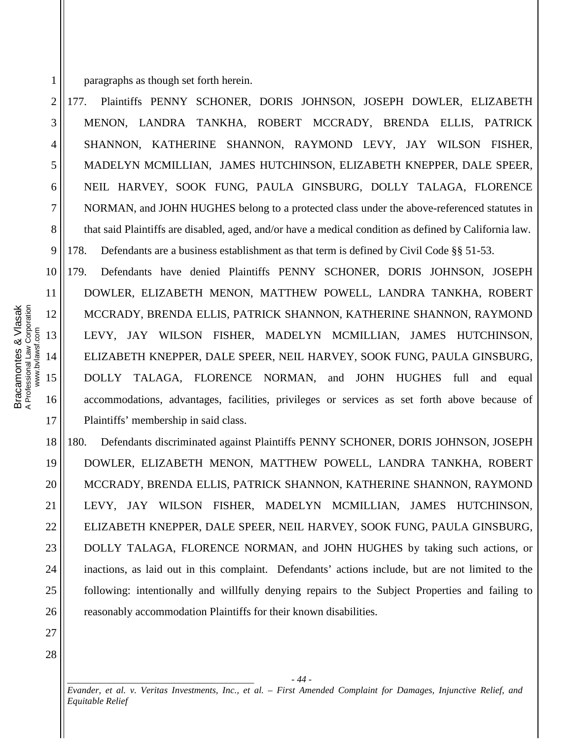1

2

3

4

5

6

7

8

9

10

11

17

18

19

20

21

22

23

24

25

26

27

paragraphs as though set forth herein.

177. Plaintiffs PENNY SCHONER, DORIS JOHNSON, JOSEPH DOWLER, ELIZABETH MENON, LANDRA TANKHA, ROBERT MCCRADY, BRENDA ELLIS, PATRICK SHANNON, KATHERINE SHANNON, RAYMOND LEVY, JAY WILSON FISHER, MADELYN MCMILLIAN, JAMES HUTCHINSON, ELIZABETH KNEPPER, DALE SPEER, NEIL HARVEY, SOOK FUNG, PAULA GINSBURG, DOLLY TALAGA, FLORENCE NORMAN, and JOHN HUGHES belong to a protected class under the above-referenced statutes in that said Plaintiffs are disabled, aged, and/or have a medical condition as defined by California law. 178. Defendants are a business establishment as that term is defined by Civil Code §§ 51-53.

179. Defendants have denied Plaintiffs PENNY SCHONER, DORIS JOHNSON, JOSEPH DOWLER, ELIZABETH MENON, MATTHEW POWELL, LANDRA TANKHA, ROBERT MCCRADY, BRENDA ELLIS, PATRICK SHANNON, KATHERINE SHANNON, RAYMOND LEVY, JAY WILSON FISHER, MADELYN MCMILLIAN, JAMES HUTCHINSON, ELIZABETH KNEPPER, DALE SPEER, NEIL HARVEY, SOOK FUNG, PAULA GINSBURG, DOLLY TALAGA, FLORENCE NORMAN, and JOHN HUGHES full and equal accommodations, advantages, facilities, privileges or services as set forth above because of Plaintiffs' membership in said class.

180. Defendants discriminated against Plaintiffs PENNY SCHONER, DORIS JOHNSON, JOSEPH DOWLER, ELIZABETH MENON, MATTHEW POWELL, LANDRA TANKHA, ROBERT MCCRADY, BRENDA ELLIS, PATRICK SHANNON, KATHERINE SHANNON, RAYMOND LEVY, JAY WILSON FISHER, MADELYN MCMILLIAN, JAMES HUTCHINSON, ELIZABETH KNEPPER, DALE SPEER, NEIL HARVEY, SOOK FUNG, PAULA GINSBURG, DOLLY TALAGA, FLORENCE NORMAN, and JOHN HUGHES by taking such actions, or inactions, as laid out in this complaint. Defendants' actions include, but are not limited to the following: intentionally and willfully denying repairs to the Subject Properties and failing to reasonably accommodation Plaintiffs for their known disabilities.

28

*\_\_\_\_\_\_\_\_\_\_\_\_\_\_\_\_\_\_\_\_\_\_\_\_\_\_\_\_\_\_\_\_\_\_\_\_\_\_\_\_ - 44 - Evander, et al. v. Veritas Investments, Inc., et al. – First Amended Complaint for Damages, Injunctive Relief, and Equitable Relief*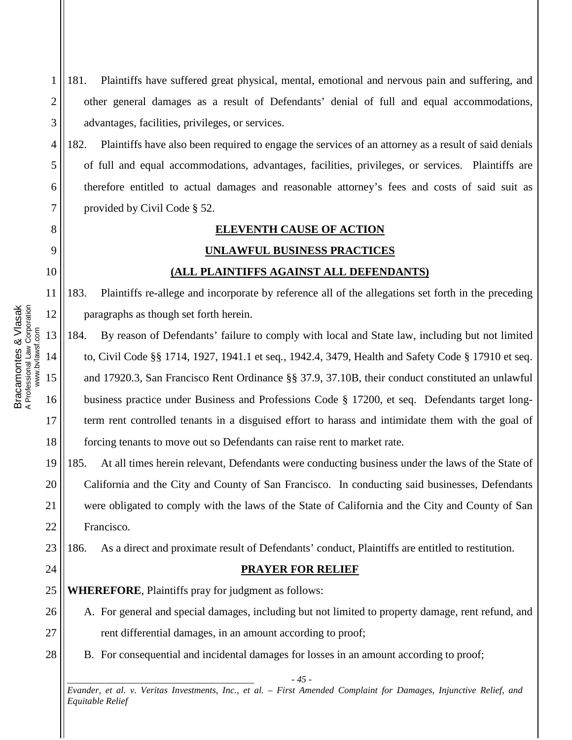181. Plaintiffs have suffered great physical, mental, emotional and nervous pain and suffering, and other general damages as a result of Defendants' denial of full and equal accommodations, advantages, facilities, privileges, or services.

182. Plaintiffs have also been required to engage the services of an attorney as a result of said denials of full and equal accommodations, advantages, facilities, privileges, or services. Plaintiffs are therefore entitled to actual damages and reasonable attorney's fees and costs of said suit as provided by Civil Code § 52.

## **ELEVENTH CAUSE OF ACTION UNLAWFUL BUSINESS PRACTICES (ALL PLAINTIFFS AGAINST ALL DEFENDANTS)**

183. Plaintiffs re-allege and incorporate by reference all of the allegations set forth in the preceding paragraphs as though set forth herein.

184. By reason of Defendants' failure to comply with local and State law, including but not limited to, Civil Code §§ 1714, 1927, 1941.1 et seq*.*, 1942.4, 3479, Health and Safety Code § 17910 et seq. and 17920.3, San Francisco Rent Ordinance §§ 37.9, 37.10B, their conduct constituted an unlawful business practice under Business and Professions Code § 17200, et seq. Defendants target longterm rent controlled tenants in a disguised effort to harass and intimidate them with the goal of forcing tenants to move out so Defendants can raise rent to market rate.

185. At all times herein relevant, Defendants were conducting business under the laws of the State of California and the City and County of San Francisco. In conducting said businesses, Defendants were obligated to comply with the laws of the State of California and the City and County of San Francisco.

186. As a direct and proximate result of Defendants' conduct, Plaintiffs are entitled to restitution.

24

### **PRAYER FOR RELIEF**

**WHEREFORE**, Plaintiffs pray for judgment as follows:

A. For general and special damages, including but not limited to property damage, rent refund, and rent differential damages, in an amount according to proof;

B. For consequential and incidental damages for losses in an amount according to proof;

*\_\_\_\_\_\_\_\_\_\_\_\_\_\_\_\_\_\_\_\_\_\_\_\_\_\_\_\_\_\_\_\_\_\_\_\_\_\_\_\_ - 45 - Evander, et al. v. Veritas Investments, Inc., et al. – First Amended Complaint for Damages, Injunctive Relief, and Equitable Relief* 

1

2

3

4

5

6

7

8

9

10

11

12

13

14

15

16

17

18

19

20

21

22

23

25

26

27